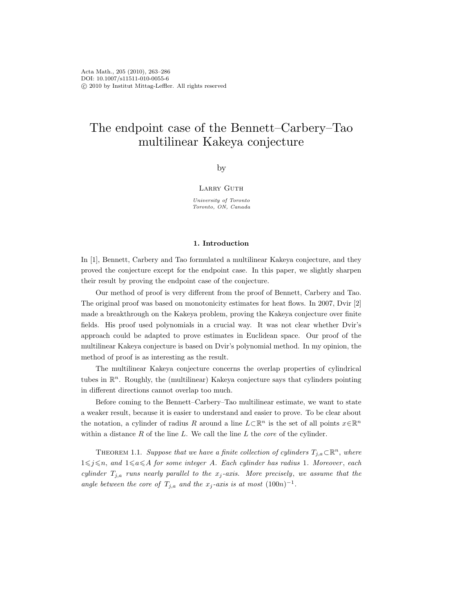# The endpoint case of the Bennett–Carbery–Tao multilinear Kakeya conjecture

by

## LARRY GUTH

University of Toronto Toronto, ON, Canada

## 1. Introduction

In [1], Bennett, Carbery and Tao formulated a multilinear Kakeya conjecture, and they proved the conjecture except for the endpoint case. In this paper, we slightly sharpen their result by proving the endpoint case of the conjecture.

Our method of proof is very different from the proof of Bennett, Carbery and Tao. The original proof was based on monotonicity estimates for heat flows. In 2007, Dvir [2] made a breakthrough on the Kakeya problem, proving the Kakeya conjecture over finite fields. His proof used polynomials in a crucial way. It was not clear whether Dvir's approach could be adapted to prove estimates in Euclidean space. Our proof of the multilinear Kakeya conjecture is based on Dvir's polynomial method. In my opinion, the method of proof is as interesting as the result.

The multilinear Kakeya conjecture concerns the overlap properties of cylindrical tubes in  $\mathbb{R}^n$ . Roughly, the (multilinear) Kakeya conjecture says that cylinders pointing in different directions cannot overlap too much.

Before coming to the Bennett–Carbery–Tao multilinear estimate, we want to state a weaker result, because it is easier to understand and easier to prove. To be clear about the notation, a cylinder of radius R around a line  $L\subset\mathbb{R}^n$  is the set of all points  $x\in\mathbb{R}^n$ within a distance  $R$  of the line  $L$ . We call the line  $L$  the core of the cylinder.

THEOREM 1.1. Suppose that we have a finite collection of cylinders  $T_{j,a}\subset\mathbb{R}^n$ , where  $1\leq j\leq n$ , and  $1\leq a\leq A$  for some integer A. Each cylinder has radius 1. Moreover, each cylinder  $T_{j,a}$  runs nearly parallel to the  $x_j$ -axis. More precisely, we assume that the angle between the core of  $T_{j,a}$  and the  $x_j$ -axis is at most  $(100n)^{-1}$ .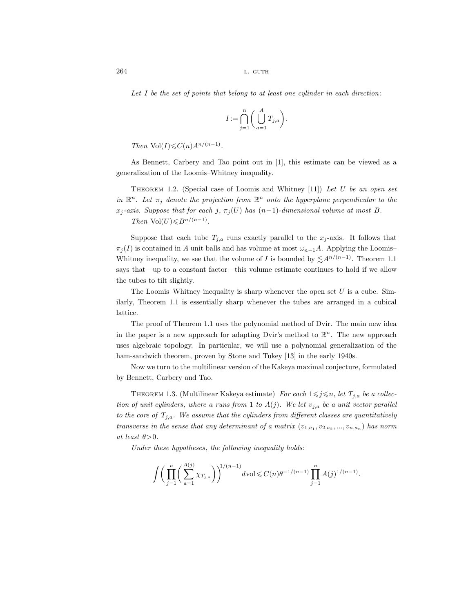Let  $I$  be the set of points that belong to at least one cylinder in each direction:

$$
I := \bigcap_{j=1}^n \bigg( \bigcup_{a=1}^A T_{j,a} \bigg).
$$

Then Vol $(I) \leqslant C(n) A^{n/(n-1)}$ .

As Bennett, Carbery and Tao point out in [1], this estimate can be viewed as a generalization of the Loomis–Whitney inequality.

THEOREM 1.2. (Special case of Loomis and Whitney  $|11\rangle$ ) Let U be an open set in  $\mathbb{R}^n$ . Let  $\pi_j$  denote the projection from  $\mathbb{R}^n$  onto the hyperplane perpendicular to the  $x_j$ -axis. Suppose that for each j,  $\pi_j(U)$  has  $(n-1)$ -dimensional volume at most B. Then  $\text{Vol}(U) \leq B^{n/(n-1)}$ .

Suppose that each tube  $T_{j,a}$  runs exactly parallel to the  $x_j$ -axis. It follows that  $\pi_j(I)$  is contained in A unit balls and has volume at most  $\omega_{n-1}A$ . Applying the Loomis– Whitney inequality, we see that the volume of I is bounded by  $\lesssim A^{n/(n-1)}$ . Theorem 1.1 says that—up to a constant factor—this volume estimate continues to hold if we allow the tubes to tilt slightly.

The Loomis–Whitney inequality is sharp whenever the open set  $U$  is a cube. Similarly, Theorem 1.1 is essentially sharp whenever the tubes are arranged in a cubical lattice.

The proof of Theorem 1.1 uses the polynomial method of Dvir. The main new idea in the paper is a new approach for adapting Dvir's method to  $\mathbb{R}^n$ . The new approach uses algebraic topology. In particular, we will use a polynomial generalization of the ham-sandwich theorem, proven by Stone and Tukey [13] in the early 1940s.

Now we turn to the multilinear version of the Kakeya maximal conjecture, formulated by Bennett, Carbery and Tao.

THEOREM 1.3. (Multilinear Kakeya estimate) For each  $1 \leq j \leq n$ , let  $T_{j,a}$  be a collection of unit cylinders, where a runs from 1 to  $A(j)$ . We let  $v_{j,a}$  be a unit vector parallel to the core of  $T_{j,a}$ . We assume that the cylinders from different classes are quantitatively transverse in the sense that any determinant of a matrix  $(v_{1,a_1}, v_{2,a_2}, ..., v_{n,a_n})$  has norm at least  $\theta > 0$ .

Under these hypotheses, the following inequality holds:

$$
\int \bigg( \prod_{j=1}^n \bigg( \sum_{a=1}^{A(j)} \chi_{T_{j,a}} \bigg) \bigg)^{1/(n-1)} d\text{vol} \leq C(n) \theta^{-1/(n-1)} \prod_{j=1}^n A(j)^{1/(n-1)}.
$$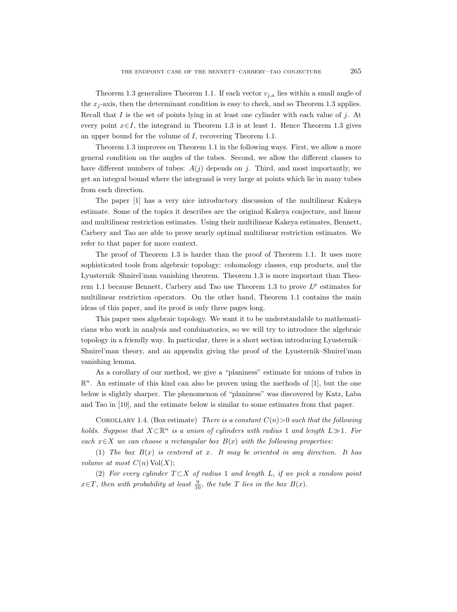Theorem 1.3 generalizes Theorem 1.1. If each vector  $v_{i,a}$  lies within a small angle of the  $x_j$ -axis, then the determinant condition is easy to check, and so Theorem 1.3 applies. Recall that I is the set of points lying in at least one cylinder with each value of  $j$ . At every point  $x \in I$ , the integrand in Theorem 1.3 is at least 1. Hence Theorem 1.3 gives an upper bound for the volume of I, recovering Theorem 1.1.

Theorem 1.3 improves on Theorem 1.1 in the following ways. First, we allow a more general condition on the angles of the tubes. Second, we allow the different classes to have different numbers of tubes:  $A(j)$  depends on j. Third, and most importantly, we get an integral bound where the integrand is very large at points which lie in many tubes from each direction.

The paper [1] has a very nice introductory discussion of the multilinear Kakeya estimate. Some of the topics it describes are the original Kakeya conjecture, and linear and multilinear restriction estimates. Using their multilinear Kakeya estimates, Bennett, Carbery and Tao are able to prove nearly optimal multilinear restriction estimates. We refer to that paper for more context.

The proof of Theorem 1.3 is harder than the proof of Theorem 1.1. It uses more sophisticated tools from algebraic topology: cohomology classes, cup products, and the Lyusternik–Shnirel'man vanishing theorem. Theorem 1.3 is more important than Theorem 1.1 because Bennett, Carbery and Tao use Theorem 1.3 to prove  $L^p$  estimates for multilinear restriction operators. On the other hand, Theorem 1.1 contains the main ideas of this paper, and its proof is only three pages long.

This paper uses algebraic topology. We want it to be understandable to mathematicians who work in analysis and combinatorics, so we will try to introduce the algebraic topology in a friendly way. In particular, there is a short section introducing Lyusternik– Shnirel'man theory, and an appendix giving the proof of the Lyusternik–Shnirel'man vanishing lemma.

As a corollary of our method, we give a "planiness" estimate for unions of tubes in  $\mathbb{R}^n$ . An estimate of this kind can also be proven using the methods of [1], but the one below is slightly sharper. The phenomenon of "planiness" was discovered by Katz, Laba and Tao in [10], and the estimate below is similar to some estimates from that paper.

COROLLARY 1.4. (Box estimate) There is a constant  $C(n) > 0$  such that the following holds. Suppose that  $X \subset \mathbb{R}^n$  is a union of cylinders with radius 1 and length  $L \gg 1$ . For each  $x \in X$  we can choose a rectangular box  $B(x)$  with the following properties:

(1) The box  $B(x)$  is centered at x. It may be oriented in any direction. It has volume at most  $C(n)$  Vol $(X)$ ;

(2) For every cylinder  $T \subset X$  of radius 1 and length L, if we pick a random point  $x \in T$ , then with probability at least  $\frac{9}{10}$ , the tube T lies in the box  $B(x)$ .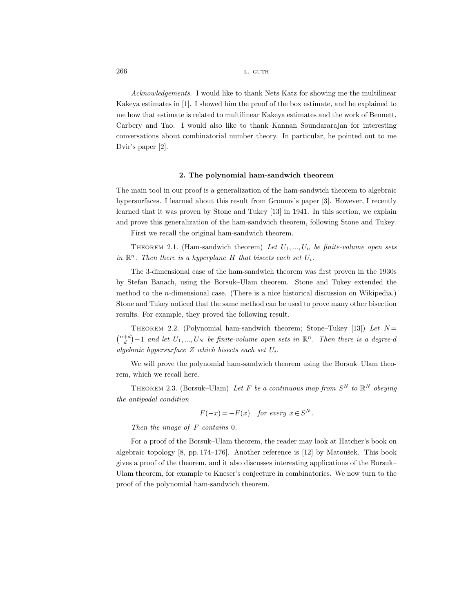Acknowledgements. I would like to thank Nets Katz for showing me the multilinear Kakeya estimates in [1]. I showed him the proof of the box estimate, and he explained to me how that estimate is related to multilinear Kakeya estimates and the work of Bennett, Carbery and Tao. I would also like to thank Kannan Soundararajan for interesting conversations about combinatorial number theory. In particular, he pointed out to me Dvir's paper [2].

### 2. The polynomial ham-sandwich theorem

The main tool in our proof is a generalization of the ham-sandwich theorem to algebraic hypersurfaces. I learned about this result from Gromov's paper [3]. However, I recently learned that it was proven by Stone and Tukey [13] in 1941. In this section, we explain and prove this generalization of the ham-sandwich theorem, following Stone and Tukey.

First we recall the original ham-sandwich theorem.

THEOREM 2.1. (Ham-sandwich theorem) Let  $U_1, ..., U_n$  be finite-volume open sets in  $\mathbb{R}^n$ . Then there is a hyperplane H that bisects each set  $U_i$ .

The 3-dimensional case of the ham-sandwich theorem was first proven in the 1930s by Stefan Banach, using the Borsuk–Ulam theorem. Stone and Tukey extended the method to the n-dimensional case. (There is a nice historical discussion on Wikipedia.) Stone and Tukey noticed that the same method can be used to prove many other bisection results. For example, they proved the following result.

THEOREM 2.2. (Polynomial ham-sandwich theorem; Stone–Tukey [13]) Let  $N=$  $\binom{n+d}{d} - 1$  and let  $U_1, ..., U_N$  be finite-volume open sets in  $\mathbb{R}^n$ . Then there is a degree-d algebraic hypersurface  $Z$  which bisects each set  $U_i$ .

We will prove the polynomial ham-sandwich theorem using the Borsuk–Ulam theorem, which we recall here.

THEOREM 2.3. (Borsuk–Ulam) Let F be a continuous map from  $S^N$  to  $\mathbb{R}^N$  obeying the antipodal condition

$$
F(-x) = -F(x) \quad for every \ x \in S^N.
$$

Then the image of F contains 0.

For a proof of the Borsuk–Ulam theorem, the reader may look at Hatcher's book on algebraic topology  $[8, pp. 174-176]$ . Another reference is  $[12]$  by Matoušek. This book gives a proof of the theorem, and it also discusses interesting applications of the Borsuk– Ulam theorem, for example to Kneser's conjecture in combinatorics. We now turn to the proof of the polynomial ham-sandwich theorem.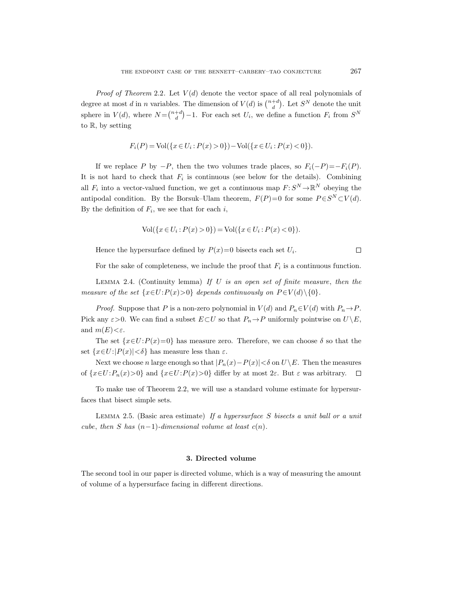*Proof of Theorem* 2.2. Let  $V(d)$  denote the vector space of all real polynomials of degree at most d in n variables. The dimension of  $V(d)$  is  $\binom{n+d}{d}$ . Let  $S^N$  denote the unit sphere in  $V(d)$ , where  $N = \binom{n+d}{d} - 1$ . For each set  $U_i$ , we define a function  $F_i$  from  $S^N$ to R, by setting

$$
F_i(P) = Vol({x \in U_i : P(x) > 0}) - Vol({x \in U_i : P(x) < 0}).
$$

If we replace P by  $-P$ , then the two volumes trade places, so  $F_i(-P) = -F_i(P)$ . It is not hard to check that  $F_i$  is continuous (see below for the details). Combining all  $F_i$  into a vector-valued function, we get a continuous map  $F: S^N \to \mathbb{R}^N$  obeying the antipodal condition. By the Borsuk–Ulam theorem,  $F(P)=0$  for some  $P \in S^N \subset V(d)$ . By the definition of  $F_i$ , we see that for each i,

$$
Vol({x \in U_i : P(x) > 0}) = Vol({x \in U_i : P(x) < 0}).
$$

Hence the hypersurface defined by  $P(x)=0$  bisects each set  $U_i$ .

 $\Box$ 

For the sake of completeness, we include the proof that  $F_i$  is a continuous function.

LEMMA 2.4. (Continuity lemma) If  $U$  is an open set of finite measure, then the measure of the set  $\{x \in U: P(x) > 0\}$  depends continuously on  $P \in V(d) \setminus \{0\}.$ 

*Proof.* Suppose that P is a non-zero polynomial in  $V(d)$  and  $P_n \in V(d)$  with  $P_n \to P$ . Pick any  $\varepsilon > 0$ . We can find a subset  $E\subset U$  so that  $P_n \to P$  uniformly pointwise on  $U\backslash E$ , and  $m(E) < \varepsilon$ .

The set  $\{x \in U : P(x)=0\}$  has measure zero. Therefore, we can choose  $\delta$  so that the set  $\{x \in U : |P(x)| < \delta\}$  has measure less than  $\varepsilon$ .

Next we choose n large enough so that  $|P_n(x)-P(x)|<\delta$  on  $U\setminus E$ . Then the measures of  $\{x \in U: P_n(x) > 0\}$  and  $\{x \in U: P(x) > 0\}$  differ by at most  $2\varepsilon$ . But  $\varepsilon$  was arbitrary.  $\Box$ 

To make use of Theorem 2.2, we will use a standard volume estimate for hypersurfaces that bisect simple sets.

LEMMA 2.5. (Basic area estimate) If a hypersurface S bisects a unit ball or a unit cube, then S has  $(n-1)$ -dimensional volume at least  $c(n)$ .

## 3. Directed volume

The second tool in our paper is directed volume, which is a way of measuring the amount of volume of a hypersurface facing in different directions.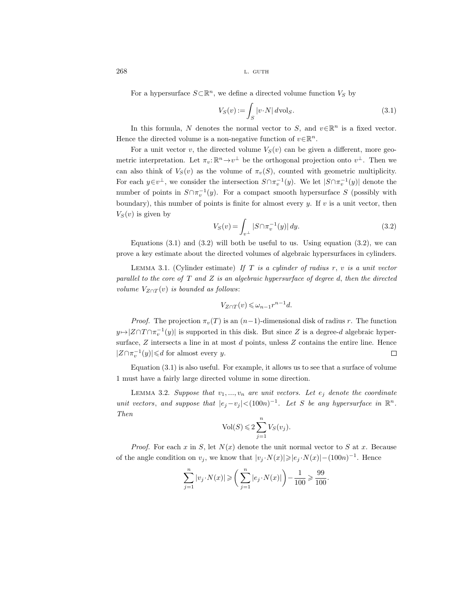For a hypersurface  $S\subset \mathbb{R}^n$ , we define a directed volume function  $V_S$  by

$$
V_S(v) := \int_S |v \cdot N| \, d\text{vol}_S. \tag{3.1}
$$

In this formula, N denotes the normal vector to S, and  $v \in \mathbb{R}^n$  is a fixed vector. Hence the directed volume is a non-negative function of  $v \in \mathbb{R}^n$ .

For a unit vector v, the directed volume  $V<sub>S</sub>(v)$  can be given a different, more geometric interpretation. Let  $\pi_v : \mathbb{R}^n \to v^{\perp}$  be the orthogonal projection onto  $v^{\perp}$ . Then we can also think of  $V_S(v)$  as the volume of  $\pi_v(S)$ , counted with geometric multiplicity. For each  $y \in v^{\perp}$ , we consider the intersection  $S \cap \pi_v^{-1}(y)$ . We let  $|S \cap \pi_v^{-1}(y)|$  denote the number of points in  $S \cap \pi_v^{-1}(y)$ . For a compact smooth hypersurface S (possibly with boundary), this number of points is finite for almost every y. If  $v$  is a unit vector, then  $V<sub>S</sub>(v)$  is given by

$$
V_S(v) = \int_{v^\perp} |S \cap \pi_v^{-1}(y)| \, dy. \tag{3.2}
$$

Equations  $(3.1)$  and  $(3.2)$  will both be useful to us. Using equation  $(3.2)$ , we can prove a key estimate about the directed volumes of algebraic hypersurfaces in cylinders.

LEMMA 3.1. (Cylinder estimate) If T is a cylinder of radius r, v is a unit vector parallel to the core of  $T$  and  $Z$  is an algebraic hypersurface of degree  $d$ , then the directed volume  $V_{Z\cap T}(v)$  is bounded as follows:

$$
V_{Z \cap T}(v) \leq \omega_{n-1} r^{n-1} d.
$$

*Proof.* The projection  $\pi_v(T)$  is an  $(n-1)$ -dimensional disk of radius r. The function  $y \mapsto |Z \cap T \cap \pi_v^{-1}(y)|$  is supported in this disk. But since Z is a degree-d algebraic hypersurface,  $Z$  intersects a line in at most  $d$  points, unless  $Z$  contains the entire line. Hence  $|Z \cap \pi_v^{-1}(y)| \leq d$  for almost every y.  $\Box$ 

Equation (3.1) is also useful. For example, it allows us to see that a surface of volume 1 must have a fairly large directed volume in some direction.

LEMMA 3.2. Suppose that  $v_1, ..., v_n$  are unit vectors. Let  $e_i$  denote the coordinate unit vectors, and suppose that  $|e_j - v_j| < (100n)^{-1}$ . Let S be any hypersurface in  $\mathbb{R}^n$ . Then

$$
\mathrm{Vol}(S) \leqslant 2\sum_{j=1}^n V_S(v_j).
$$

*Proof.* For each x in S, let  $N(x)$  denote the unit normal vector to S at x. Because of the angle condition on  $v_j$ , we know that  $|v_j \cdot N(x)| \geqslant |e_j \cdot N(x)| - (100n)^{-1}$ . Hence

$$
\sum_{j=1}^n|v_j\cdot N(x)|\geqslant \bigg(\sum_{j=1}^n|e_j\cdot N(x)|\bigg)-\frac{1}{100}\geqslant\frac{99}{100}.
$$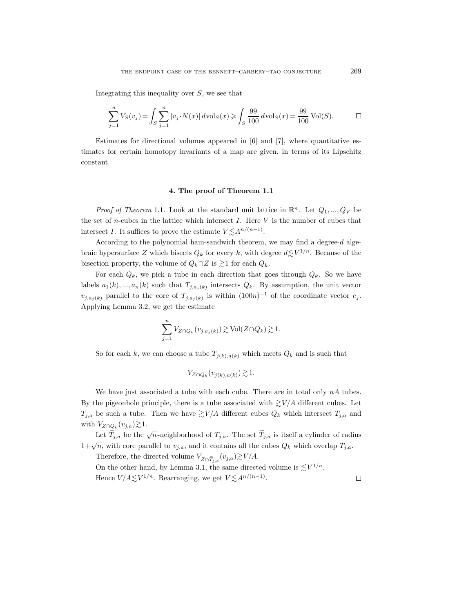Integrating this inequality over  $S$ , we see that

$$
\sum_{j=1}^{n} V_S(v_j) = \int_S \sum_{j=1}^{n} |v_j \cdot N(x)| \, d\text{vol}_S(x) \ge \int_S \frac{99}{100} \, d\text{vol}_S(x) = \frac{99}{100} \text{Vol}(S).
$$

Estimates for directional volumes appeared in  $[6]$  and  $[7]$ , where quantitative estimates for certain homotopy invariants of a map are given, in terms of its Lipschitz constant.

## 4. The proof of Theorem 1.1

*Proof of Theorem* 1.1. Look at the standard unit lattice in  $\mathbb{R}^n$ . Let  $Q_1, ..., Q_V$  be the set of *n*-cubes in the lattice which intersect  $I$ . Here  $V$  is the number of cubes that intersect I. It suffices to prove the estimate  $V \lesssim A^{n/(n-1)}$ .

According to the polynomial ham-sandwich theorem, we may find a degree-d algebraic hypersurface Z which bisects  $Q_k$  for every k, with degree  $d \lesssim V^{1/n}$ . Because of the bisection property, the volume of  $Q_k \cap Z$  is  $\geq 1$  for each  $Q_k$ .

For each  $Q_k$ , we pick a tube in each direction that goes through  $Q_k$ . So we have labels  $a_1(k),...,a_n(k)$  such that  $T_{j,a_j(k)}$  intersects  $Q_k$ . By assumption, the unit vector  $v_{j,a_j(k)}$  parallel to the core of  $T_{j,a_j(k)}$  is within  $(100n)^{-1}$  of the coordinate vector  $e_j$ . Applying Lemma 3.2, we get the estimate

$$
\sum_{j=1}^{n} V_{Z \cap Q_k}(v_{j,a_j(k)}) \gtrsim \text{Vol}(Z \cap Q_k) \gtrsim 1.
$$

So for each k, we can choose a tube  $T_{j(k),a(k)}$  which meets  $Q_k$  and is such that

$$
V_{Z\cap Q_k}(v_{j(k),a(k)})\gtrsim 1.
$$

We have just associated a tube with each cube. There are in total only  $nA$  tubes. By the pigeonhole principle, there is a tube associated with  $\gtrsim V/A$  different cubes. Let  $T_{j,a}$  be such a tube. Then we have  $\gtrsim V/A$  different cubes  $Q_k$  which intersect  $T_{j,a}$  and with  $V_{Z\cap Q_k}(v_{j,a})\gtrsim 1$ .

Let  $\widetilde{T}_{j,a}$  be the  $\sqrt{n}$ -neighborhood of  $T_{j,a}$ . The set  $\widetilde{T}_{j,a}$  is itself a cylinder of radius  $1+\sqrt{n}$ , with core parallel to  $v_{j,a}$ , and it contains all the cubes  $Q_k$  which overlap  $T_{j,a}$ .

Therefore, the directed volume  $V_{Z\cap \tilde T_{j,a}}(v_{j,a}){\gtrsim}V/A.$ On the other hand, by Lemma 3.1, the same directed volume is  $\lesssim V^{1/n}$ .

Hence  $V/A \lesssim V^{1/n}$ . Rearranging, we get  $V \lesssim A^{n/(n-1)}$ .

 $\hfill \square$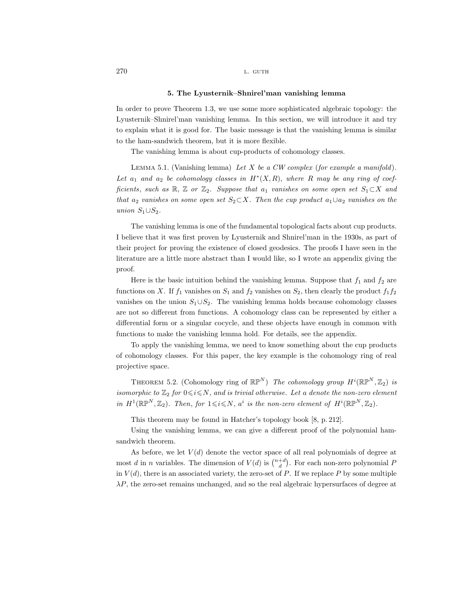### 5. The Lyusternik–Shnirel'man vanishing lemma

In order to prove Theorem 1.3, we use some more sophisticated algebraic topology: the Lyusternik–Shnirel'man vanishing lemma. In this section, we will introduce it and try to explain what it is good for. The basic message is that the vanishing lemma is similar to the ham-sandwich theorem, but it is more flexible.

The vanishing lemma is about cup-products of cohomology classes.

LEMMA 5.1. (Vanishing lemma) Let X be a CW complex (for example a manifold). Let  $a_1$  and  $a_2$  be cohomology classes in  $H^*(X, R)$ , where R may be any ring of coefficients, such as R, Z or  $\mathbb{Z}_2$ . Suppose that  $a_1$  vanishes on some open set  $S_1 \subset X$  and that  $a_2$  vanishes on some open set  $S_2 \subset X$ . Then the cup product  $a_1 \cup a_2$  vanishes on the union  $S_1 \cup S_2$ .

The vanishing lemma is one of the fundamental topological facts about cup products. I believe that it was first proven by Lyusternik and Shnirel'man in the 1930s, as part of their project for proving the existence of closed geodesics. The proofs I have seen in the literature are a little more abstract than I would like, so I wrote an appendix giving the proof.

Here is the basic intuition behind the vanishing lemma. Suppose that  $f_1$  and  $f_2$  are functions on X. If  $f_1$  vanishes on  $S_1$  and  $f_2$  vanishes on  $S_2$ , then clearly the product  $f_1f_2$ vanishes on the union  $S_1 \cup S_2$ . The vanishing lemma holds because cohomology classes are not so different from functions. A cohomology class can be represented by either a differential form or a singular cocycle, and these objects have enough in common with functions to make the vanishing lemma hold. For details, see the appendix.

To apply the vanishing lemma, we need to know something about the cup products of cohomology classes. For this paper, the key example is the cohomology ring of real projective space.

THEOREM 5.2. (Cohomology ring of  $\mathbb{RP}^N$ ) The cohomology group  $H^i(\mathbb{RP}^N, \mathbb{Z}_2)$  is isomorphic to  $\mathbb{Z}_2$  for  $0 \le i \le N$ , and is trivial otherwise. Let a denote the non-zero element in  $H^1(\mathbb{R}\mathbb{P}^N, \mathbb{Z}_2)$ . Then, for  $1 \leq i \leq N$ ,  $a^i$  is the non-zero element of  $H^i(\mathbb{R}\mathbb{P}^N, \mathbb{Z}_2)$ .

This theorem may be found in Hatcher's topology book [8, p. 212].

Using the vanishing lemma, we can give a different proof of the polynomial hamsandwich theorem.

As before, we let  $V(d)$  denote the vector space of all real polynomials of degree at most d in n variables. The dimension of  $V(d)$  is  $\binom{n+d}{d}$ . For each non-zero polynomial P in  $V(d)$ , there is an associated variety, the zero-set of P. If we replace P by some multiple  $\lambda P$ , the zero-set remains unchanged, and so the real algebraic hypersurfaces of degree at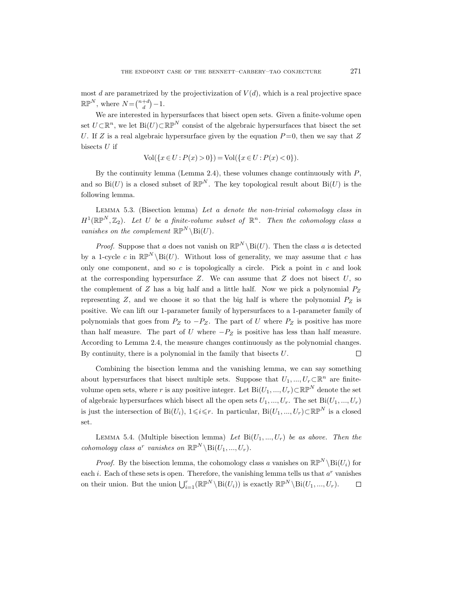most d are parametrized by the projectivization of  $V(d)$ , which is a real projective space  $\mathbb{RP}^N$ , where  $N = \binom{n+d}{d} - 1$ .

We are interested in hypersurfaces that bisect open sets. Given a finite-volume open set  $U \subset \mathbb{R}^n$ , we let Bi $(U) \subset \mathbb{RP}^N$  consist of the algebraic hypersurfaces that bisect the set U. If Z is a real algebraic hypersurface given by the equation  $P=0$ , then we say that Z bisects  $U$  if

$$
Vol({x \in U : P(x) > 0}) = Vol({x \in U : P(x) < 0}).
$$

By the continuity lemma (Lemma 2.4), these volumes change continuously with  $P$ , and so  $Bi(U)$  is a closed subset of  $\mathbb{RP}^N$ . The key topological result about  $Bi(U)$  is the following lemma.

LEMMA 5.3. (Bisection lemma) Let  $a$  denote the non-trivial cohomology class in  $H^1(\mathbb{R}\mathbb{P}^N, \mathbb{Z}_2)$ . Let U be a finite-volume subset of  $\mathbb{R}^n$ . Then the cohomology class a vanishes on the complement  $\mathbb{RP}^N \setminus \text{Bi}(U)$ .

*Proof.* Suppose that a does not vanish on  $\mathbb{RP}^N \setminus \text{Bi}(U)$ . Then the class a is detected by a 1-cycle c in  $\mathbb{RP}^N \backslash \text{Bi}(U)$ . Without loss of generality, we may assume that c has only one component, and so  $c$  is topologically a circle. Pick a point in  $c$  and look at the corresponding hypersurface  $Z$ . We can assume that  $Z$  does not bisect  $U$ , so the complement of  $Z$  has a big half and a little half. Now we pick a polynomial  $P_Z$ representing  $Z$ , and we choose it so that the big half is where the polynomial  $P_Z$  is positive. We can lift our 1-parameter family of hypersurfaces to a 1-parameter family of polynomials that goes from  $P_Z$  to  $-P_Z$ . The part of U where  $P_Z$  is positive has more than half measure. The part of U where  $-P_Z$  is positive has less than half measure. According to Lemma 2.4, the measure changes continuously as the polynomial changes. By continuity, there is a polynomial in the family that bisects  $U$ .  $\Box$ 

Combining the bisection lemma and the vanishing lemma, we can say something about hypersurfaces that bisect multiple sets. Suppose that  $U_1, ..., U_r \subset \mathbb{R}^n$  are finitevolume open sets, where r is any positive integer. Let  $\text{Bi}(U_1, ..., U_r) \subset \mathbb{RP}^N$  denote the set of algebraic hypersurfaces which bisect all the open sets  $U_1, ..., U_r$ . The set  $\text{Bi}(U_1, ..., U_r)$ is just the intersection of Bi(U<sub>i</sub>),  $1 \leq i \leq r$ . In particular, Bi(U<sub>1</sub>, ..., U<sub>r</sub>) $\subset \mathbb{RP}^N$  is a closed set.

LEMMA 5.4. (Multiple bisection lemma) Let  $Bi(U_1, ..., U_r)$  be as above. Then the cohomology class a<sup>r</sup> vanishes on  $\mathbb{RP}^N \backslash \text{Bi}(U_1, ..., U_r)$ .

*Proof.* By the bisection lemma, the cohomology class a vanishes on  $\mathbb{RP}^N \setminus \text{Bi}(U_i)$  for each *i*. Each of these sets is open. Therefore, the vanishing lemma tells us that  $a^r$  vanishes on their union. But the union  $\bigcup_{i=1}^r (\mathbb{RP}^N \setminus \text{Bi}(U_i))$  is exactly  $\mathbb{RP}^N \setminus \text{Bi}(U_1, ..., U_r)$ .  $\Box$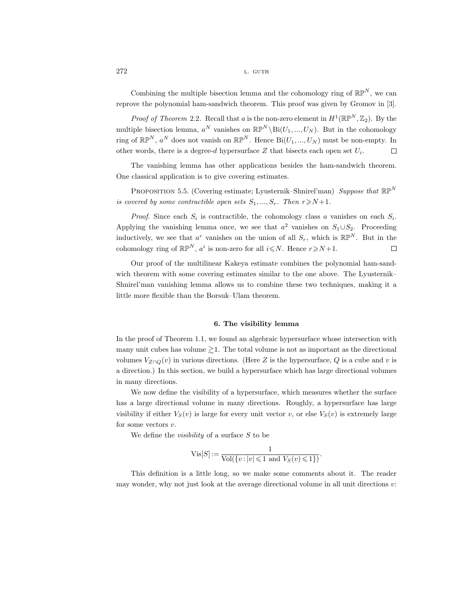Combining the multiple bisection lemma and the cohomology ring of  $\mathbb{RP}^N$ , we can reprove the polynomial ham-sandwich theorem. This proof was given by Gromov in [3].

*Proof of Theorem* 2.2. Recall that a is the non-zero element in  $H^1(\mathbb{R}P^N, \mathbb{Z}_2)$ . By the multiple bisection lemma,  $a^N$  vanishes on  $\mathbb{RP}^N \setminus \text{Bi}(U_1, ..., U_N)$ . But in the cohomology ring of  $\mathbb{RP}^N$ ,  $a^N$  does not vanish on  $\mathbb{RP}^N$ . Hence  $\text{Bi}(U_1, ..., U_N)$  must be non-empty. In other words, there is a degree-d hypersurface Z that bisects each open set  $U_i$ .  $\Box$ 

The vanishing lemma has other applications besides the ham-sandwich theorem. One classical application is to give covering estimates.

PROPOSITION 5.5. (Covering estimate; Lyusternik–Shnirel'man) Suppose that  $\mathbb{RP}^N$ is covered by some contractible open sets  $S_1, ..., S_r$ . Then  $r \ge N+1$ .

*Proof.* Since each  $S_i$  is contractible, the cohomology class a vanishes on each  $S_i$ . Applying the vanishing lemma once, we see that  $a^2$  vanishes on  $S_1 \cup S_2$ . Proceeding inductively, we see that  $a^r$  vanishes on the union of all  $S_r$ , which is  $\mathbb{RP}^N$ . But in the cohomology ring of  $\mathbb{RP}^N$ ,  $a^i$  is non-zero for all  $i \leq N$ . Hence  $r \geq N+1$ .  $\Box$ 

Our proof of the multilinear Kakeya estimate combines the polynomial ham-sandwich theorem with some covering estimates similar to the one above. The Lyusternik– Shnirel'man vanishing lemma allows us to combine these two techniques, making it a little more flexible than the Borsuk–Ulam theorem.

### 6. The visibility lemma

In the proof of Theorem 1.1, we found an algebraic hypersurface whose intersection with many unit cubes has volume  $\geq 1$ . The total volume is not as important as the directional volumes  $V_{Z\cap Q}(v)$  in various directions. (Here Z is the hypersurface, Q is a cube and v is a direction.) In this section, we build a hypersurface which has large directional volumes in many directions.

We now define the visibility of a hypersurface, which measures whether the surface has a large directional volume in many directions. Roughly, a hypersurface has large visibility if either  $V_S(v)$  is large for every unit vector v, or else  $V_S(v)$  is extremely large for some vectors  $v$ .

We define the *visibility* of a surface  $S$  to be

$$
\mathrm{Vis}[S] := \frac{1}{\mathrm{Vol}(\{v : |v| \leq 1 \text{ and } V_S(v) \leq 1\})}.
$$

This definition is a little long, so we make some comments about it. The reader may wonder, why not just look at the average directional volume in all unit directions  $v$ :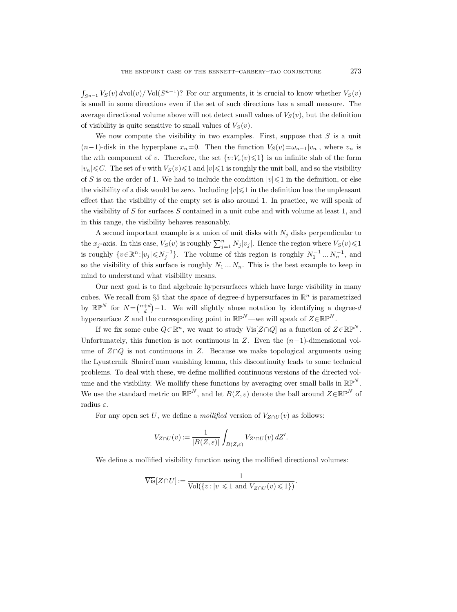$\int_{S^{n-1}} V_S(v) dvol(v) / \text{Vol}(S^{n-1})$ ? For our arguments, it is crucial to know whether  $V_S(v)$ is small in some directions even if the set of such directions has a small measure. The average directional volume above will not detect small values of  $V<sub>S</sub>(v)$ , but the definition of visibility is quite sensitive to small values of  $V<sub>S</sub>(v)$ .

We now compute the visibility in two examples. First, suppose that  $S$  is a unit  $(n-1)$ -disk in the hyperplane  $x_n=0$ . Then the function  $V_S(v)=\omega_{n-1}|v_n|$ , where  $v_n$  is the nth component of v. Therefore, the set  $\{v:V_s(v)\leq 1\}$  is an infinite slab of the form  $|v_n|\leq C$ . The set of v with  $V_S(v)\leq 1$  and  $|v|\leq 1$  is roughly the unit ball, and so the visibility of S is on the order of 1. We had to include the condition  $|v|\leq 1$  in the definition, or else the visibility of a disk would be zero. Including  $|v| \leq 1$  in the definition has the unpleasant effect that the visibility of the empty set is also around 1. In practice, we will speak of the visibility of S for surfaces S contained in a unit cube and with volume at least 1, and in this range, the visibility behaves reasonably.

A second important example is a union of unit disks with  $N_j$  disks perpendicular to the  $x_j$ -axis. In this case,  $V_S(v)$  is roughly  $\sum_{j=1}^n N_j |v_j|$ . Hence the region where  $V_S(v) \leq 1$ is roughly  $\{v \in \mathbb{R}^n : |v_j| \leq N_j^{-1}\}$ . The volume of this region is roughly  $N_1^{-1} \dots N_n^{-1}$ , and so the visibility of this surface is roughly  $N_1 \ldots N_n$ . This is the best example to keep in mind to understand what visibility means.

Our next goal is to find algebraic hypersurfaces which have large visibility in many cubes. We recall from §5 that the space of degree-d hypersurfaces in  $\mathbb{R}^n$  is parametrized by  $\mathbb{RP}^N$  for  $N = \binom{n+d}{d} - 1$ . We will slightly abuse notation by identifying a degree-d hypersurface Z and the corresponding point in  $\mathbb{RP}^N$ —we will speak of  $Z \in \mathbb{RP}^N$ .

If we fix some cube  $Q\subset\mathbb{R}^n$ , we want to study Vis $[Z\cap Q]$  as a function of  $Z\in\mathbb{RP}^N$ . Unfortunately, this function is not continuous in Z. Even the  $(n-1)$ -dimensional volume of  $Z \cap Q$  is not continuous in Z. Because we make topological arguments using the Lyusternik–Shnirel'man vanishing lemma, this discontinuity leads to some technical problems. To deal with these, we define mollified continuous versions of the directed volume and the visibility. We mollify these functions by averaging over small balls in  $\mathbb{RP}^N$ . We use the standard metric on  $\mathbb{RP}^N$ , and let  $B(Z,\varepsilon)$  denote the ball around  $Z\in\mathbb{RP}^N$  of radius  $\varepsilon$ . e de let on 'n t Wet ブ, IV! define mollified continually<br>
v these functions by a<br>  $\mathbb{P}^N$ , and let  $B(Z, \varepsilon)$  d<br>
e a mollified version<br>  $=\frac{1}{|B(Z, \varepsilon)|} \int_{B(Z, \varepsilon)} V_{Z'}$ <br>
v function using the<br>  $\frac{1}{\text{Vol}(\{v : |v| \leq 1 \text{ and } \overline{V})}$ 

For any open set U, we define a mollified version of  $V_{Z\cap U}(v)$  as follows:

$$
\overline{V}_{Z\cap U}(v) := \frac{1}{|B(Z,\varepsilon)|} \int_{B(Z,\varepsilon)} V_{Z'\cap U}(v) dZ'.
$$

We define a mollified visibility function using the mollified directional volumes:

$$
\overline{\text{Vis}}[Z\cap U] := \frac{1}{\text{Vol}(\{v : |v| \leq 1 \text{ and } \overline{V}_{Z\cap U}(v) \leq 1\})}.
$$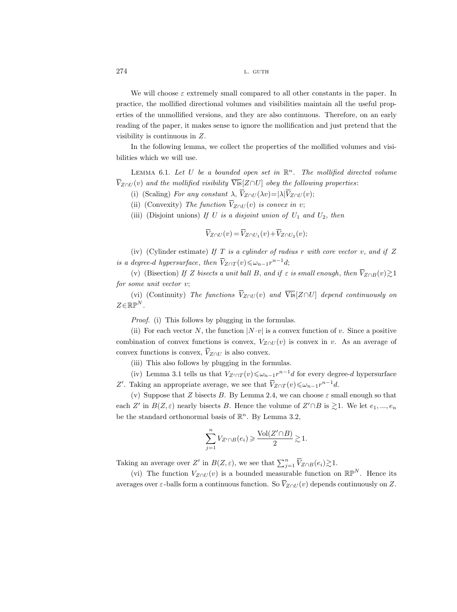We will choose  $\varepsilon$  extremely small compared to all other constants in the paper. In practice, the mollified directional volumes and visibilities maintain all the useful properties of the unmollified versions, and they are also continuous. Therefore, on an early reading of the paper, it makes sense to ignore the mollification and just pretend that the visibility is continuous in Z.  $27$  pr er re vi $\hskip 2mm$ bi  $\overline V_2$ We will choose  $\varepsilon$  extremely small consider<br>tice, the mollified directional volum<br>s of the unmollified versions, and the<br>ing of the paper, it makes sense to ig<br>ility is continuous in Z.<br>In the following lemma, we collec ompared to all<br>hey are also co<br>gnore the molli<br>the properties<br>open set in  $\mathbb{R}^r$ <br> $[Z \cap U]$  obey the<br> $Z \cap U(\lambda v) = |\lambda| \overline{V}$ We will choose  $\varepsilon$  extremely smaltice, the mollified directional vol<br>s of the unmollified versions, and<br>ing of the paper, it makes sense t<br>ility is continuous in Z.<br>In the following lemma, we colle<br>es which we will use.  $\begin{array}{ccc} \text{S}^{\text{R}} & \text{S}^{\text{R}} & \text{S}^{\text{R}} \ \text{S}^{\text{R}} & \text{S}^{\text{R}} & \text{S}^{\text{R}} \ \text{S}^{\text{R}} & \text{S}^{\text{R}} & \text{S}^{\text{R}} \ \text{V}^{\text{R}} \end{array}$ Some to ig<br>
Some to ig<br>  $\omega$  collect the value of  $\frac{1}{2}$ <br>  $\omega$  is a disposition  $\overline{V}_{Z\cap U}$ <br>  $U$  is a disposition  $\overline{V}_{Z\cap U}$ <br>  $U$  is a disposition  $\overline{V}_{Z\cap U}(v) = \overline{V}_{Z\cap U}(v)$ The ansotation the momentum copertion  $set\ int\int \phi\,dy$ <br>is convolution  $(v)+\overline{V}$ .

In the following lemma, we collect the properties of the mollified volumes and visibilities which we will use.

LEMMA 6.1. Let U be a bounded open set in  $\mathbb{R}^n$ . The mollified directed volume  $\overline{V}_{Z\cap U}(v)$  and the mollified visibility  $\overline{Vis}[Z\cap U]$  obey the following properties:

(i) (Scaling) For any constant  $\lambda$ ,  $\overline{V}_{Z\cap U}(\lambda v) = |\lambda| \overline{V}_{Z\cap U}(v);$ 

(ii) (Convexity) The function  $\overline{V}_{Z\cap U}(v)$  is convex in v;

(iii) (Disjoint unions) If U is a disjoint union of  $U_1$  and  $U_2$ , then

$$
\overline{V}_{Z\cap U}(v) = \overline{V}_{Z\cap U_1}(v) + \overline{V}_{Z\cap U_2}(v);
$$

(iv) (Cylinder estimate) If T is a cylinder of radius r with core vector v, and if  $Z$ In the following lemma, we co<br>bilities which we will use.<br>LEMMA 6.1. Let U be a bou<br> $\overline{V}_{Z \cap U}(v)$  and the mollified visibility<br>(i) (Scaling) For any constan<br>(ii) (Convexity) The function<br>(iii) (Disjoint unions) If U is<br>  $\bar{Z}_{Z\cap T}(v) \leqslant \omega_{n-1}r^{n-1}d;$ (v) and the mollified visibility  $\overline{Vis}[Z \cap U]$  obey the following properties:<br>
(i) (Scaling) For any constant  $\lambda$ ,  $\overline{V}_{Z \cap U}$  obey the following properties:<br>
(i) (Scaling) For any constant  $\lambda$ ,  $\overline{V}_{Z \cap U}(\lambda v) = |\lambda| \$ (i) (Scaling) For any constant  $\lambda$ ,  $\overline{V}$ <br>
(i) (Scaling) For any constant  $\lambda$ ,  $\overline{V}$ <br>
(ii) (Convexity) The function  $\overline{V}_{Z \cap U}$ <br>
(iii) (Disjoint unions) If U is a dis<br>  $\overline{V}_{Z \cap U}(v) = \overline{V}$ <br>
(iv) (Cylinder esti

(v) (Bisection) If Z bisects a unit ball B, and if  $\varepsilon$  is small enough, then  $\overline{V}_{Z\cap B}(v) \geq 1$ for some unit vector v;

(vi) (Continuity) The functions  $\overline{V}_{Z\cap U}(v)$  and  $\overline{Vis}[Z\cap U]$  depend continuously on  $Z\in\mathbb{RP}^N$ .

Proof. (i) This follows by plugging in the formulas.

(ii) For each vector N, the function  $|N \cdot v|$  is a convex function of v. Since a positive combination of convex functions is convex,  $V_{Z\cap U}(v)$  is convex in v. As an average of (iv) (Cylinder estimate)<br>is a degree-d hypersurface, the<br>(v) (Bisection) If Z bisect<br>for some unit vector v;<br>(vi) (Continuity) The ft<br> $Z \in \mathbb{RP}^N$ .<br>Proof. (i) This follows b;<br>(ii) For each vector N, th<br>combination of con convex functions is convex.  $\overline{V}_{Z\cap U}$  is also convex. (v) (Bisection) If Z bisects a unit ball B, and<br>
r some unit vector v;<br>
(vi) (Continuity) The functions  $\overline{V}_{Z \cap U}(v)$  an<br>  $\in \mathbb{R} \mathbb{P}^N$ .<br>
Proof. (i) This follows by plugging in the for<br>
(ii) For each vector N, the

(iii) This also follows by plugging in the formulas.

(iv) Lemma 3.1 tells us that  $V_{Z' \cap T}(v) \le \omega_{n-1} r^{n-1} d$  for every degree-d hypersurface Z'. Taking an appropriate average, we see that  $\overline{V}_{Z \cap T}(v) \leq \omega_{n-1} r^{n-1} d$ .

(v) Suppose that Z bisects B. By Lemma 2.4, we can choose  $\varepsilon$  small enough so that each Z' in  $B(Z, \varepsilon)$  nearly bisects B. Hence the volume of  $Z' \cap B$  is  $\gtrsim 1$ . We let  $e_1, ..., e_n$ be the standard orthonormal basis of  $\mathbb{R}^n$ . By Lemma 3.2, as.<br>  $\begin{aligned} \text{a.s.} \\ \text{-1}_{d} \text{ for } \text{if } d \infty \\ \text{e can} \\ \text{a.} \text{a.} \text{a.} \text{b.} \text{c.} \\ \text{b.} \text{c.} \text{d.} \text{d.} \text{d.} \text{d.} \text{d.} \text{e.} \text{d.} \text{f.} \text{f.} \end{aligned}$ (iv) Lemma 3.1 tells us that  $V_{Z'\cap T}(v) \le \omega_{n-1} r^n$ <br>
Z'. Taking an appropriate average, we see that  $\overline{V}_{Z\cap T}$ <br>
(v) Suppose that Z bisects B. By Lemma 2.4, we<br>
each Z' in  $B(Z, \varepsilon)$  nearly bisects B. Hence the volum<br>
b

$$
\sum_{j=1}^{n} V_{Z' \cap B}(e_i) \geq \frac{\text{Vol}(Z' \cap B)}{2} \gtrsim 1.
$$

Taking an average over Z' in  $B(Z,\varepsilon)$ , we see that  $\sum_{i=1}^n \overline{V}_{Z\cap B}(e_i) \gtrsim 1$ .

(vi) The function  $V_{Z\cap U}(v)$  is a bounded measurable function on  $\mathbb{RP}^N$ . Hence its averages over  $\varepsilon$ -balls form a continuous function. So  $\overline{V}_{Z\cap U}(v)$  depends continuously on Z.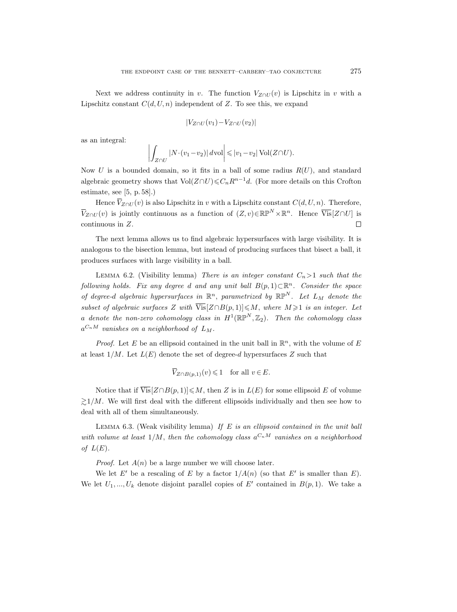Next we address continuity in v. The function  $V_{Z\cap U}(v)$  is Lipschitz in v with a Lipschitz constant  $C(d, U, n)$  independent of Z. To see this, we expand

$$
|V_{Z\cap U}(v_1)-V_{Z\cap U}(v_2)|
$$

as an integral:

$$
\left| \int_{Z \cap U} |N \cdot (v_1 - v_2)| \, d\text{vol} \right| \leqslant |v_1 - v_2| \operatorname{Vol} (Z \cap U).
$$

Now U is a bounded domain, so it fits in a ball of some radius  $R(U)$ , and standard algebraic geometry shows that  $Vol(Z \cap U) \leq C_n R^{n-1}d$ . (For more details on this Crofton estimate, see [5, p. 58].) Next we<br>chitz con<br>integra<br> $U$  is a<br>praic geo<br>nate, see<br>Hence  $\overline{V}_i$ Li as  $N$  al es  $\bar{V}_2$ 

Hence  $\overline{V}_{Z\cap U}(v)$  is also Lipschitz in v with a Lipschitz constant  $C(d, U, n)$ . Therefore,  $\overline{Z}_{\cap U}(v)$  is jointly continuous as a function of  $(Z, v) \in \mathbb{RP}^N \times \mathbb{R}^n$ . Hence  $\overline{Vis}[Z \cap U]$  is continuous in Z.  $\Box$ 

The next lemma allows us to find algebraic hypersurfaces with large visibility. It is analogous to the bisection lemma, but instead of producing surfaces that bisect a ball, it produces surfaces with large visibility in a ball.

LEMMA 6.2. (Visibility lemma) There is an integer constant  $C_n>1$  such that the following holds. Fix any degree d and any unit ball  $B(p, 1) \subset \mathbb{R}^n$ . Consider the space of degree-d algebraic hypersurfaces in  $\mathbb{R}^n$ , parametrized by  $\mathbb{RP}^N$ . Let  $L_M$  denote the subset of algebraic surfaces Z with  $\overline{\text{Vis}}[Z \cap B(p, 1)] \leq M$ , where  $M \geq 1$  is an integer. Let a denote the non-zero cohomology class in  $H^1(\mathbb{R}\mathbb{P}^N,\mathbb{Z}_2)$ . Then the cohomology class  $a^{C_nM}$  vanishes on a neighborhood of  $L_M$ . v le gr $\frac{gr}{Z}$  me $\frac{m}{V}$  soc by  $\overline{V}$ 

*Proof.* Let E be an ellipsoid contained in the unit ball in  $\mathbb{R}^n$ , with the volume of E at least  $1/M$ . Let  $L(E)$  denote the set of degree-d hypersurfaces Z such that

$$
\overline{V}_{Z \cap B(p,1)}(v) \leq 1 \quad \text{for all } v \in E.
$$

Notice that if  $\overline{Vis}[Z \cap B(p, 1)] \leq M$ , then Z is in  $L(E)$  for some ellipsoid E of volume  $\geq 1/M$ . We will first deal with the different ellipsoids individually and then see how to deal with all of them simultaneously.

LEMMA  $6.3.$  (Weak visibility lemma) If E is an ellipsoid contained in the unit ball with volume at least  $1/M$ , then the cohomology class  $a^{C_nM}$  vanishes on a neighborhood of  $L(E)$ .

*Proof.* Let  $A(n)$  be a large number we will choose later.

We let E' be a rescaling of E by a factor  $1/A(n)$  (so that E' is smaller than E). We let  $U_1, ..., U_k$  denote disjoint parallel copies of E' contained in  $B(p, 1)$ . We take a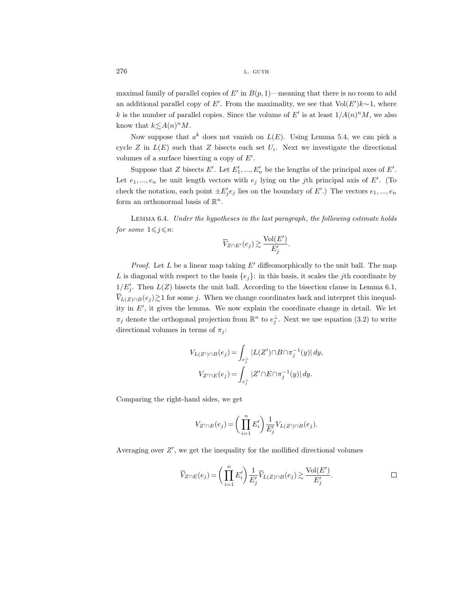maximal family of parallel copies of  $E'$  in  $B(p, 1)$ —meaning that there is no room to add an additional parallel copy of E'. From the maximality, we see that  $Vol(E')k \sim 1$ , where k is the number of parallel copies. Since the volume of E' is at least  $1/A(n)^nM$ , we also know that  $k \lesssim A(n)^n M$ .

Now suppose that  $a^k$  does not vanish on  $L(E)$ . Using Lemma 5.4, we can pick a cycle Z in  $L(E)$  such that Z bisects each set  $U_i$ . Next we investigate the directional volumes of a surface bisecting a copy of  $E'$ .

Suppose that Z bisects E'. Let  $E'_1, ..., E'_n$  be the lengths of the principal axes of E'. Let  $e_1, ..., e_n$  be unit length vectors with  $e_j$  lying on the *j*th principal axis of E'. (To check the notation, each point  $\pm E'_j e_j$  lies on the boundary of  $E'$ .) The vectors  $e_1, ..., e_n$ form an orthonormal basis of  $\mathbb{R}^n$ . 101 sec<br>|01 et or:<br>|*E'<sub>j</sub> the*<br>|ループ!

Lemma 6.4. Under the hypotheses in the last paragraph, the following estimate holds for some  $1 \leq j \leq n$ :

$$
\overline{V}_{Z \cap E'}(e_j) \gtrsim \frac{\text{Vol}(E')}{E'_j}.
$$

*Proof.* Let  $L$  be a linear map taking  $E'$  diffeomorphically to the unit ball. The map L is diagonal with respect to the basis  $\{e_j\}$ : in this basis, it scales the jth coordinate by  $1/E'_j$ . Then  $L(Z)$  bisects the unit ball. According to the bisection clause in Lemma 6.1, Let for  $f$   $\partial$   $L$   $\frac{1}{V}$  $V_{L(Z)\cap B}(e_j)$  at for some j. When we change coordinates back and interpret this inequality in  $E'$ , it gives the lemma. We now explain the coordinate change in detail. We let  $\pi_j$  denote the orthogonal projection from  $\mathbb{R}^n$  to  $e_j^{\perp}$ . Next we use equation (3.2) to write directional volumes in terms of  $\pi_i$ :

$$
V_{L(Z') \cap B}(e_j) = \int_{e_j^{\perp}} |L(Z') \cap B \cap \pi_j^{-1}(y)| dy,
$$
  
\n
$$
V_{Z' \cap E}(e_j) = \int_{e_j^{\perp}} |Z' \cap E \cap \pi_j^{-1}(y)| dy.
$$
  
\nand sides, we get  
\n
$$
V_{Z' \cap E}(e_j) = \left(\prod_{i=1}^n E_i'\right) \frac{1}{E_j'} V_{L(Z') \cap B}(e_j).
$$
  
\nget the inequality for the modified directi  
\n
$$
\int_{E(e_j)}^n e_j \cdot \int_{E(z')}^n \frac{1}{E_j'} \overline{V}_{L(Z) \cap B}(e_j) \ge \frac{\text{Vol}(E(z'))}{E(z')}
$$

Comparing the right-hand sides, we get

$$
V_{Z' \cap E}(e_j) = \bigg(\prod_{i=1}^n E'_i\bigg) \frac{1}{E'_j} V_{L(Z') \cap B}(e_j).
$$

Averaging over  $Z'$ , we get the inequality for the mollified directional volumes

$$
V_{Z' \cap E}(e_j) = \int_{e_j^{\perp}} |Z' \cap E \cap \pi_j^{-1}(y)| dy.
$$
  
t-hand sides, we get  

$$
V_{Z' \cap E}(e_j) = \left(\prod_{i=1}^n E'_i\right) \frac{1}{E'_j} V_{L(Z') \cap B}(e_j).
$$
  
we get the inequality for the modified directional volumes  

$$
\overline{V}_{Z \cap E}(e_j) = \left(\prod_{i=1}^n E'_i\right) \frac{1}{E'_j} \overline{V}_{L(Z) \cap B}(e_j) \gtrsim \frac{\text{Vol}(E')}{E'_j}.
$$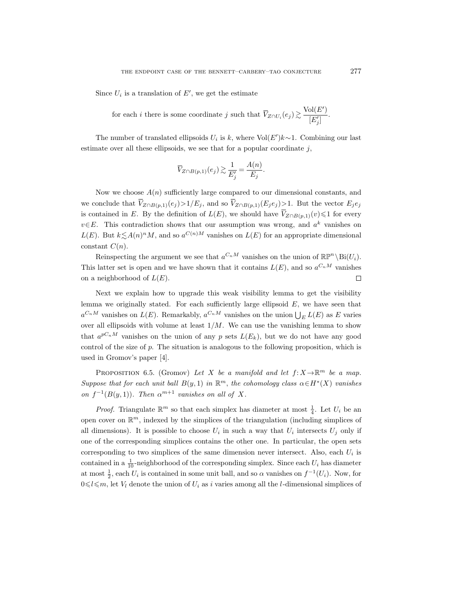Since  $U_i$  is a translation of  $E'$ , we get the estimate

THE ENDPOINT CASE OF THE BENNETT-CARBERY-TAO CONJECTURE<br>  $U_i$  is a translation of  $E'$ , we get the estimate<br>
for each *i* there is some coordinate *j* such that  $\overline{V}_{Z \cap U_i}(e_j) \gtrsim \frac{\text{Vol}(E')}{|E'|}$  $\frac{(-1)^{j}}{[E'_j]}$ .  $\begin{array}{ccc} \text{E} & \text{if} & \text{if} & \text{if} & \text{if} & \text{if} & \text{if} & \text{if} & \text{if} & \text{if} & \text{if} & \text{if} & \text{if} & \text{if} & \text{if} & \text{if} & \text{if} & \text{if} & \text{if} & \text{if} & \text{if} & \text{if} & \text{if} & \text{if} & \text{if} & \text{if} & \text{if} & \text{if} & \text{if} & \text{if} & \text{if} & \text{if} & \text{if} & \text{if} & \text{if} & \text{$ ranslation of  $E'$ , we get the es<br>there is some coordinate j st<br>itranslated ellipsoids  $U_i$  is  $k$ ,<br>ese ellipsoids, we see that for<br> $\overline{V}_{Z \cap B(p,1)}(e_j) \gtrsim \frac{1}{E'_j}$ <br>e  $A(n)$  sufficiently large comp<br> $Z \cap B(p,1)}(e_j) > 1/E_j$ , an

The number of translated ellipsoids  $U_i$  is  $k$ , where Vol $(E')k$ ~1. Combining our last estimate over all these ellipsoids, we see that for a popular coordinate  $j$ , Since  $U_i$  is a tr<br>for each  $i$ <br>The number of<br>estimate over all the<br>Mow we choose<br>we conclude that  $\overline{V_i}$ 

$$
\overline{V}_{Z\cap B(p,1)}(e_j) \gtrsim \frac{1}{E_j'} = \frac{A(n)}{E_j}.
$$

Now we choose  $A(n)$  sufficiently large compared to our dimensional constants, and we conclude that  $\overline{V}_{Z\cap B(p,1)}(e_j) > 1/E_j$ , and so  $\overline{V}_{Z\cap B(p,1)}(E_j e_j) > 1$ . But the vector  $E_j e_j$ for each *i* there is some coordinate *j* such that  $\overline{V}_{Z \cap U_i}$  (<br>
The number of translated ellipsoids  $U_i$  is *k*, where  $\text{Vol}(E')k$ <br>
estimate over all these ellipsoids, we see that for a popular coordinate<br>  $\overline{V}_{Z \cap$ is contained in E. By the definition of  $L(E)$ , we should have  $\overline{V}_{Z\cap B(p,1)}(v)\leq 1$  for every  $v \in E$ . This contradiction shows that our assumption was wrong, and  $a^k$  vanishes on  $L(E)$ . But  $k \lesssim A(n)^n M$ , and so  $a^{C(n)M}$  vanishes on  $L(E)$  for an appropriate dimensional constant  $C(n)$ .

Reinspecting the argument we see that  $a^{C_nM}$  vanishes on the union of  $\mathbb{RP}^n\backslash \text{Bi}(U_i)$ . This latter set is open and we have shown that it contains  $L(E)$ , and so  $a^{C_nM}$  vanishes on a neighborhood of  $L(E)$ .  $\Box$ 

Next we explain how to upgrade this weak visibility lemma to get the visibility lemma we originally stated. For each sufficiently large ellipsoid  $E$ , we have seen that  $a^{C_nM}$  vanishes on  $L(E)$ . Remarkably,  $a^{C_nM}$  vanishes on the union  $\bigcup_E L(E)$  as E varies over all ellipsoids with volume at least  $1/M$ . We can use the vanishing lemma to show that  $a^{pC_nM}$  vanishes on the union of any p sets  $L(E_k)$ , but we do not have any good control of the size of  $p$ . The situation is analogous to the following proposition, which is used in Gromov's paper [4].

PROPOSITION 6.5. (Gromov) Let X be a manifold and let  $f: X \to \mathbb{R}^m$  be a map. Suppose that for each unit ball  $B(y,1)$  in  $\mathbb{R}^m$ , the cohomology class  $\alpha \in H^*(X)$  vanishes on  $f^{-1}(B(y, 1))$ . Then  $\alpha^{m+1}$  vanishes on all of X.

*Proof.* Triangulate  $\mathbb{R}^m$  so that each simplex has diameter at most  $\frac{1}{4}$ . Let  $U_i$  be an open cover on  $\mathbb{R}^m$ , indexed by the simplices of the triangulation (including simplices of all dimensions). It is possible to choose  $U_i$  in such a way that  $U_i$  intersects  $U_j$  only if one of the corresponding simplices contains the other one. In particular, the open sets corresponding to two simplices of the same dimension never intersect. Also, each  $U_i$  is contained in a  $\frac{1}{10}$ -neighborhood of the corresponding simplex. Since each  $U_i$  has diameter at most  $\frac{1}{2}$ , each  $U_i$  is contained in some unit ball, and so  $\alpha$  vanishes on  $f^{-1}(U_i)$ . Now, for  $0 \leq l \leq m$ , let  $V_l$  denote the union of  $U_i$  as i varies among all the l-dimensional simplices of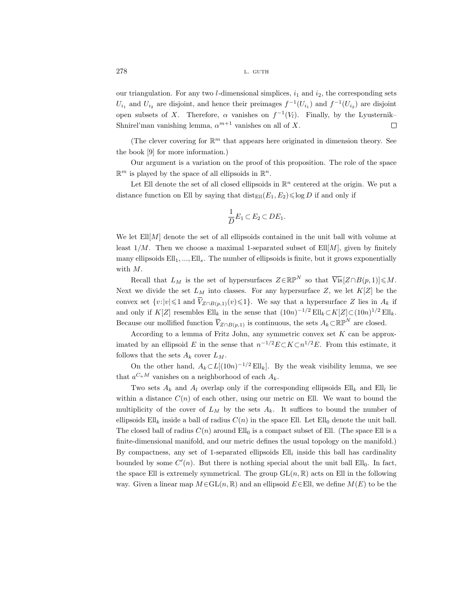our triangulation. For any two *l*-dimensional simplices,  $i_1$  and  $i_2$ , the corresponding sets  $U_{i_1}$  and  $U_{i_2}$  are disjoint, and hence their preimages  $f^{-1}(U_{i_1})$  and  $f^{-1}(U_{i_2})$  are disjoint open subsets of X. Therefore,  $\alpha$  vanishes on  $f^{-1}(V_l)$ . Finally, by the Lyusternik– Shnirel'man vanishing lemma,  $\alpha^{m+1}$  vanishes on all of X.  $\Box$ 

(The clever covering for  $\mathbb{R}^m$  that appears here originated in dimension theory. See the book [9] for more information.)

Our argument is a variation on the proof of this proposition. The role of the space  $\mathbb{R}^m$  is played by the space of all ellipsoids in  $\mathbb{R}^n$ .

Let Ell denote the set of all closed ellipsoids in  $\mathbb{R}^n$  centered at the origin. We put a distance function on Ell by saying that  $dist_{\text{Ell}}(E_1, E_2) \leq \log D$  if and only if

$$
\frac{1}{D}E_1 \subset E_2 \subset DE_1.
$$

We let  $Ell[M]$  denote the set of all ellipsoids contained in the unit ball with volume at least  $1/M$ . Then we choose a maximal 1-separated subset of  $Ell[M]$ , given by finitely many ellipsoids  $Ell_1, ..., Ell_s$ . The number of ellipsoids is finite, but it grows exponentially with M. Let Ell denote the set  $\alpha$ <br>distance function on Ell by<br>We let Ell[*M*] denote the s<br>least  $1/M$ . Then we choos<br>many ellipsoids Ell<sub>1</sub>, ..., Ell<sub>s</sub><br>with *M*.<br>Recall that  $L_M$  is the<br>Next we divide the set  $L_M$ <br>convex set

Recall that  $L_M$  is the set of hypersurfaces  $Z \in \mathbb{RP}^N$  so that  $\overline{Vis}[Z \cap B(p, 1)] \leqslant M$ . Next we divide the set  $L_M$  into classes. For any hypersurface Z, we let  $K[Z]$  be the convex set  $\{v: |v| \leq 1 \text{ and } \overline{V}_{Z \cap B(p,1)}(v) \leq 1\}.$  We say that a hypersurface Z lies in  $A_k$  if and only if  $K[Z]$  resembles  $Ell_k$  in the sense that  $(10n)^{-1/2} Ell_k \subset K[Z] \subset (10n)^{1/2} Ell_k$ . We let Ell[*M*] denote the set of<br>least  $1/M$ . Then we choose a m<br>many ellipsoids Ell<sub>1</sub>, ..., Ell<sub>s</sub>. The<br>with *M*.<br>Recall that  $L_M$  is the set of<br>Next we divide the set  $L_M$  into<br>convex set  $\{v:|v| \leq 1$  and  $\overline{V}_{Z \cap B$ Because our mollified function  $\overline{V}_{Z\cap B(p,1)}$  is continuous, the sets  $A_k\subset \mathbb{RP}^N$  are closed.

According to a lemma of Fritz John, any symmetric convex set  $K$  can be approximated by an ellipsoid E in the sense that  $n^{-1/2}E\subset K\subset n^{1/2}E$ . From this estimate, it follows that the sets  $A_k$  cover  $L_M$ .

On the other hand,  $A_k \subset L[(10n)^{-1/2} \text{Ell}_k]$ . By the weak visibility lemma, we see that  $a^{C_n M}$  vanishes on a neighborhood of each  $A_k$ .

Two sets  $A_k$  and  $A_l$  overlap only if the corresponding ellipsoids  $Ell_k$  and  $Ell_l$  lie within a distance  $C(n)$  of each other, using our metric on Ell. We want to bound the multiplicity of the cover of  $L_M$  by the sets  $A_k$ . It suffices to bound the number of ellipsoids  $Ell_k$  inside a ball of radius  $C(n)$  in the space Ell. Let Ell<sub>0</sub> denote the unit ball. The closed ball of radius  $C(n)$  around Ell<sub>0</sub> is a compact subset of Ell. (The space Ell is a finite-dimensional manifold, and our metric defines the usual topology on the manifold.) By compactness, any set of 1-separated ellipsoids  $Ell<sub>i</sub>$  inside this ball has cardinality bounded by some  $C'(n)$ . But there is nothing special about the unit ball  $Ell_0$ . In fact, the space Ell is extremely symmetrical. The group  $GL(n,\mathbb{R})$  acts on Ell in the following way. Given a linear map  $M \in GL(n, \mathbb{R})$  and an ellipsoid  $E \in Ell$ , we define  $M(E)$  to be the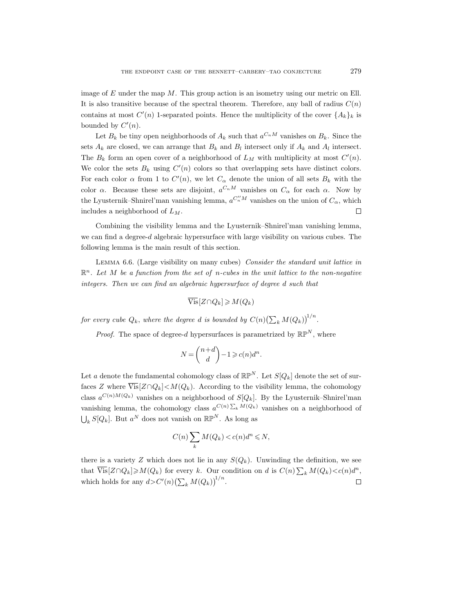image of  $E$  under the map  $M$ . This group action is an isometry using our metric on Ell. It is also transitive because of the spectral theorem. Therefore, any ball of radius  $C(n)$ contains at most  $C'(n)$  1-separated points. Hence the multiplicity of the cover  $\{A_k\}_k$  is bounded by  $C'(n)$ .

Let  $B_k$  be tiny open neighborhoods of  $A_k$  such that  $a^{C_nM}$  vanishes on  $B_k$ . Since the sets  $A_k$  are closed, we can arrange that  $B_k$  and  $B_l$  intersect only if  $A_k$  and  $A_l$  intersect. The  $B_k$  form an open cover of a neighborhood of  $L_M$  with multiplicity at most  $C'(n)$ . We color the sets  $B_k$  using  $C'(n)$  colors so that overlapping sets have distinct colors. For each color  $\alpha$  from 1 to  $C'(n)$ , we let  $C_{\alpha}$  denote the union of all sets  $B_k$  with the color  $\alpha$ . Because these sets are disjoint,  $a^{C_nM}$  vanishes on  $C_{\alpha}$  for each  $\alpha$ . Now by the Lyusternik–Shnirel'man vanishing lemma,  $a^{C''_nM}$  vanishes on the union of  $C_{\alpha}$ , which includes a neighborhood of  $L_M$ .  $\Box$ 

Combining the visibility lemma and the Lyusternik–Shnirel'man vanishing lemma, we can find a degree-d algebraic hypersurface with large visibility on various cubes. The following lemma is the main result of this section.

LEMMA 6.6. (Large visibility on many cubes) Consider the standard unit lattice in  $\mathbb{R}^n$ . Let M be a function from the set of n-cubes in the unit lattice to the non-negative integers. Then we can find an algebraic hypersurface of degree d such that

$$
\overline{\mathrm{Vis}}[Z \cap Q_k] \geqslant M(Q_k)
$$

for every cube  $Q_k$ , where the degree  $d$  is bounded by  $C(n)\left(\sum_k M(Q_k)\right)^{1/n}$ .

*Proof.* The space of degree-d hypersurfaces is parametrized by  $\mathbb{RP}^N$ , where

$$
N = \binom{n+d}{d} - 1 \geqslant c(n)d^n.
$$

Let a denote the fundamental cohomology class of  $\mathbb{RP}^N$ . Let  $S[Q_k]$  denote the set of surfaces Z where  $\overline{\text{Vis}}[Z \cap Q_k] < M(Q_k)$ . According to the visibility lemma, the cohomology class  $a^{C(n)M(Q_k)}$  vanishes on a neighborhood of  $S[Q_k]$ . By the Lyusternik–Shnirel'man vanishing lemma, the cohomology class  $a^{C(n)\sum_k M(Q_k)}$  vanishes on a neighborhood of  $\bigcup_{k} S[Q_{k}]$ . But  $a^{N}$  does not vanish on  $\mathbb{RP}^{N}$ . As long as

$$
C(n)\sum_{k}M(Q_k) < c(n)d^n \leqslant N,
$$

there is a variety Z which does not lie in any  $S(Q_k)$ . Unwinding the definition, we see that  $\overline{\text{Vis}}[Z \cap Q_k] \geqslant M(Q_k)$  for every k. Our condition on d is  $C(n) \sum_k M(Q_k) \lt c(n) d^n$ , which holds for any  $d > C'(n) \left(\sum_k M(Q_k)\right)^{1/n}$ .  $\Box$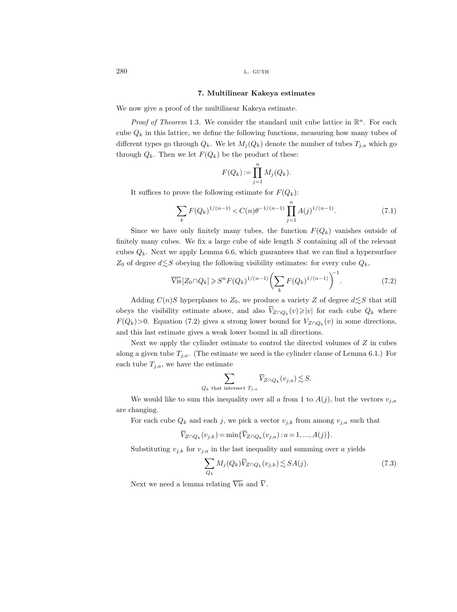### 7. Multilinear Kakeya estimates

We now give a proof of the multilinear Kakeya estimate.

*Proof of Theorem* 1.3. We consider the standard unit cube lattice in  $\mathbb{R}^n$ . For each cube  $Q_k$  in this lattice, we define the following functions, measuring how many tubes of different types go through  $Q_k$ . We let  $M_i(Q_k)$  denote the number of tubes  $T_{i,a}$  which go through  $Q_k$ . Then we let  $F(Q_k)$  be the product of these:

$$
F(Q_k) := \prod_{j=1}^n M_j(Q_k).
$$

It suffices to prove the following estimate for  $F(Q_k)$ :

$$
\sum_{k} F(Q_k)^{1/(n-1)} < C(n)\theta^{-1/(n-1)} \prod_{j=1}^{n} A(j)^{1/(n-1)}.\tag{7.1}
$$

Since we have only finitely many tubes, the function  $F(Q_k)$  vanishes outside of finitely many cubes. We fix a large cube of side length  $S$  containing all of the relevant cubes  $Q_k$ . Next we apply Lemma 6.6, which guarantees that we can find a hypersurface  $Z_0$  of degree  $d \lesssim S$  obeying the following visibility estimates: for every cube  $Q_k$ , It sumces to prove the rollowing estimate for<br>  $\sum_k F(Q_k)^{1/(n-1)} \leq C(n) \theta^{-1/(n-1)}$ <br>
Since we have only finitely many tubes, th<br>
finitely many cubes. We fix a large cube of side<br>
cubes  $Q_k$ . Next we apply Lemma 6.6, which guar

$$
\overline{\text{Vis}}[Z_0 \cap Q_k] \geqslant S^n F(Q_k)^{1/(n-1)} \left( \sum_k F(Q_k)^{1/(n-1)} \right)^{-1} . \tag{7.2}
$$

Adding  $C(n)S$  hyperplanes to  $Z_0$ , we produce a variety Z of degree  $d \leq S$  that still  $Z_{Z\cap Q_k}(v) \geqslant |v|$  for each cube  $Q_k$  where  $F(Q_k) > 0$ . Equation (7.2) gives a strong lower bound for  $V_{Z \cap Q_k}(v)$  in some directions, and this last estimate gives a weak lower bound in all directions. V

Next we apply the cylinder estimate to control the directed volumes of  $Z$  in cubes along a given tube  $T_{j,a}$ . (The estimate we need is the cylinder clause of Lemma 6.1.) For each tube  $T_{j,a}$ , we have the estimate i te the  $j$ , and the  $\overline{V}$ . gives a strong<br>s a weak lower<br>linder estimate<br>the estimate we<br>e estimate<br> $Q_k$  that intersect<br>this inequality<br>each j, we pic<br> $(v_{j,k}) = \min{\{\overline{V_j}\}}$ Mj (Qk)V

$$
\sum_{Q_k \text{ that intersect } T_{j,a}} \overline{V}_{Z \cap Q_k}(v_{j,a}) \lesssim S.
$$

We would like to sum this inequality over all a from 1 to  $A(j)$ , but the vectors  $v_{j,a}$ are changing.  $\sum_{Q_k \text{ that intersect } T_{j,a}} \overline{V}_2$ <br>We would like to sum this inequality over<br>hanging.<br>For each cube  $Q_k$  and each j, we pick a ve<br> $\overline{V}_{Z \cap Q_k}(v_{j,k}) = \min{\{\overline{V}_{Z \cap Q_k}(\overline{V}_{Z \cap Q_k})\}}$ <br>Substituting  $v_{j,k}$  for  $v_{j,a}$  in the last inequ

For each cube  $Q_k$  and each j, we pick a vector  $v_{j,k}$  from among  $v_{j,a}$  such that

$$
V_{Z \cap Q_k}(v_{j,k}) = \min \{ V_{Z \cap Q_k}(v_{j,a}) : a = 1, ..., A(j) \}.
$$

Substituting  $v_{j,k}$  for  $v_{j,a}$  in the last inequality and summing over a yields

$$
\sum_{Q_k} M_j(Q_k) \overline{V}_{Z \cap Q_k}(v_{j,k}) \lesssim SA(j). \tag{7.3}
$$

Next we need a lemma relating  $\overline{Vis}$  and  $\overline{V}$ .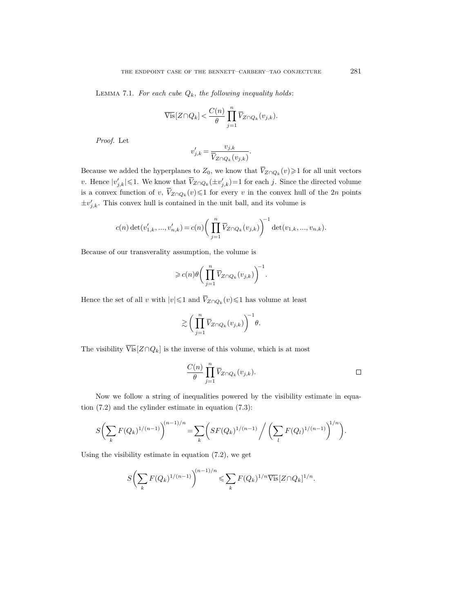LEMMA 7.1. For each cube  $Q_k$ , the following inequality holds:

THE ENDPONT CASE OF THE BENNETT–CARBERV–TA  
LEMMA 7.1. For each cube 
$$
Q_k
$$
, the following inequality  $l$   

$$
\overline{\text{Vis}}[Z \cap Q_k] < \frac{C(n)}{\theta} \prod_{j=1}^n \overline{V}_{Z \cap Q_k}(v_{j,k}).
$$
  
*Proof.* Let  

$$
v'_{j,k} = \frac{v_{j,k}}{\overline{V}_{Z \cap Q_k}(v_{j,k})}.
$$
  
Because we added the hyperplanes to  $Z_0$ , we know that  $\overline{V}_{Z \cap Q_k}$ 

Proof. Let

$$
v'_{j,k} = \frac{v_{j,k}}{\overline{V}_{Z \cap Q_k}(v_{j,k})}.
$$

 $Z_{Z\cap Q_k}(v)$ ≥1 for all unit vectors THE ENDPOINT CASE OF THE BENNETT–CARBERY–TAO CONJECTURE<br>
LEMMA 7.1. For each cube  $Q_k$ , the following inequality holds:<br>  $\overline{\text{Vis}}[Z \cap Q_k] < \frac{C(n)}{\theta} \prod_{j=1}^n \overline{V}_{Z \cap Q_k}(v_{j,k}).$ <br> *Proof.* Let<br>  $v'_{j,k} = \frac{v_{j,k}}{\overline{V}_{Z \cap Q_k}(v_{j$ LEMMA 7.1. For each c<br>  $\overline{V}$ <br>
Proof. Let<br>
Because we added the hyperpov. Hence  $|v'_{j,k}| \leq 1$ . We know<br>
is a convex function of  $v, \overline{V}$  $Z_{Z\cap Q_k}(v)$  ≤1 for every v in the convex hull of the 2n points  $\pm v'_{j,k}$ . This convex hull is contained in the unit ball, and its volume is  $\frac{1}{\sqrt{2}}$  (  $\frac{v}{\sqrt{2}}$  )  $\frac{v}{\sqrt{2}}$  ,  $\frac{v}{\sqrt{2}}$  ,  $\frac{1}{\sqrt{2}}$  ,  $\frac{1}{\sqrt{2}}$ V v. Hence  $|v_{j,k}| \le 1$ . We know that  $v_{Z \cap Q_k}$ <br>
is a convex function of  $v, \overline{V}_{Z \cap Q_k}(v) \le 1$ <br>  $\pm v'_{j,k}$ . This convex hull is contained in  $c(n) \det(v'_{1,k},...,v'_{n,k}) = c(n)$ <br>
Because of our transverality assumption<br>  $\ge c(n)\theta\left(\int\limits$ 

$$
c(n) \det(v'_{1,k},...,v'_{n,k}) = c(n) \left(\prod_{j=1}^n \overline{V}_{Z \cap Q_k}(v_{j,k})\right)^{-1} \det(v_{1,k},...,v_{n,k}).
$$

Because of our transverality assumption, the volume is

$$
L_{k,k} = c(n) \left( \prod_{j=1}^{n} \overline{V}_{Z \cap Q_k}(v_{j,k}) \right)^{-1}
$$
  
assumption, the volume is  

$$
\geqslant c(n) \theta \left( \prod_{j=1}^{n} \overline{V}_{Z \cap Q_k}(v_{j,k}) \right)^{-1}.
$$

$$
|\leqslant 1 \text{ and } \overline{V}_{Z \cap Q_k}(v) \leqslant 1 \text{ has vol-
$$
\geqslant \left( \prod_{j=1}^{n} \overline{V}_{Z \cap Q_k}(v_{j,k}) \right)^{-1} \theta.
$$
  
the inverse of this volume, which  

$$
\frac{C(n)}{n} \prod_{j=1}^{n} \overline{V}_{Z \cap Q_k}(v_{j,k}).
$$
$$

 $\bar{Z}$ ∩ $Q_k(v)$  ≤1 has volume at least

$$
\gtrsim \bigg(\prod_{j=1}^n \overline{V}_{Z\cap Q_k}(v_{j,k})\bigg)^{\hspace{-0.1cm}-1}\hspace{-0.03cm}\theta.
$$

The visibility  $\overline{\text{Vis}}[Z \cap Q_k]$  is the inverse of this volume, which is at most

$$
\frac{C(n)}{\theta} \prod_{j=1}^n \overline{V}_{Z \cap Q_k}(v_{j,k}).
$$

Now we follow a string of inequalities powered by the visibility estimate in equation (7.2) and the cylinder estimate in equation (7.3):

$$
S\bigg(\sum_{k} F(Q_k)^{1/(n-1)}\bigg)^{(n-1)/n} = \sum_{k} \bigg(SF(Q_k)^{1/(n-1)}\bigg/\bigg(\sum_{l} F(Q_l)^{1/(n-1)}\bigg)^{1/n}\bigg).
$$

Using the visibility estimate in equation (7.2), we get

$$
S\bigg(\sum_{k} F(Q_k)^{1/(n-1)}\bigg)^{(n-1)/n} \leqslant \sum_{k} F(Q_k)^{1/n} \overline{\text{Vis}}[Z \cap Q_k]^{1/n}.
$$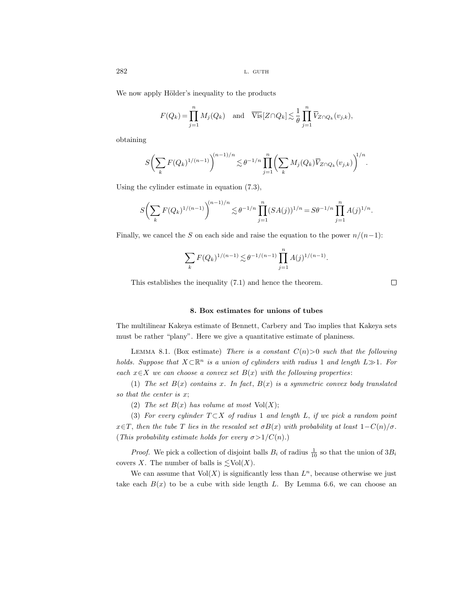We now apply Hölder's inequality to the products

$$
\text{L. GUTH}
$$
\nY Hölder's inequality to the products

\n
$$
F(Q_k) = \prod_{j=1}^{n} M_j(Q_k) \quad \text{and} \quad \overline{\text{Vis}}[Z \cap Q_k] \lesssim \frac{1}{\theta} \prod_{j=1}^{n} \overline{V}_{Z \cap Q_k}(v_{j,k}),
$$
\n
$$
\sum F(Q_k)^{1/(n-1)} \Big|^{(n-1)/n} \lesssim \theta^{-1/n} \prod_{j=1}^{n} \left( \sum M_j(Q_k) \overline{V}_{Z \cap Q_k}(v_{j,k}) \right)
$$

obtaining

$$
S\bigg(\sum_{k} F(Q_k)^{1/(n-1)}\bigg)^{(n-1)/n} \lesssim \theta^{-1/n} \prod_{j=1}^{n} \bigg(\sum_{k} M_j(Q_k) \overline{V}_{Z \cap Q_k}(v_{j,k})\bigg)^{1/n}.
$$

Using the cylinder estimate in equation (7.3),

$$
S\bigg(\sum_{k} F(Q_k)^{1/(n-1)}\bigg)^{(n-1)/n} \lesssim \theta^{-1/n} \prod_{j=1}^n (SA(j))^{1/n} = S\theta^{-1/n} \prod_{j=1}^n A(j)^{1/n}.
$$

Finally, we cancel the S on each side and raise the equation to the power  $n/(n-1)$ :

$$
\sum_{k} F(Q_k)^{1/(n-1)} \lesssim \theta^{-1/(n-1)} \prod_{j=1}^{n} A(j)^{1/(n-1)}.
$$

This establishes the inequality (7.1) and hence the theorem.

 $\Box$ 

## 8. Box estimates for unions of tubes

The multilinear Kakeya estimate of Bennett, Carbery and Tao implies that Kakeya sets must be rather "plany". Here we give a quantitative estimate of planiness.

LEMMA 8.1. (Box estimate) There is a constant  $C(n) > 0$  such that the following holds. Suppose that  $X \subset \mathbb{R}^n$  is a union of cylinders with radius 1 and length  $L \gg 1$ . For each  $x \in X$  we can choose a convex set  $B(x)$  with the following properties:

(1) The set  $B(x)$  contains x. In fact,  $B(x)$  is a symmetric convex body translated so that the center is x;

(2) The set  $B(x)$  has volume at most  $Vol(X)$ ;

(3) For every cylinder  $T \subset X$  of radius 1 and length L, if we pick a random point  $x \in T$ , then the tube T lies in the rescaled set  $\sigma B(x)$  with probability at least  $1-C(n)/\sigma$ . (This probability estimate holds for every  $\sigma > 1/C(n)$ .)

*Proof.* We pick a collection of disjoint balls  $B_i$  of radius  $\frac{1}{10}$  so that the union of  $3B_i$ covers X. The number of balls is  $\lesssim \text{Vol}(X)$ .

We can assume that  $Vol(X)$  is significantly less than  $L<sup>n</sup>$ , because otherwise we just take each  $B(x)$  to be a cube with side length L. By Lemma 6.6, we can choose an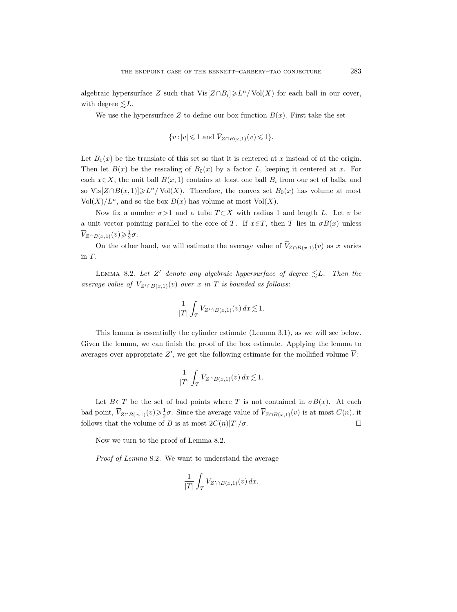algebraic hypersurface Z such that  $\overline{\text{Vis}}[Z \cap B_i] \geqslant L^n / \text{Vol}(X)$  for each ball in our cover, with degree  $\leq L$ . CASE OF THE BENN<br>
uch that  $\overline{Vis}[Z \cap \Omega]$ <br>
ce Z to define our<br>  $\{v : |v| \leq 1 \text{ and } \overline{V}\}$ 

We use the hypersurface Z to define our box function  $B(x)$ . First take the set

$$
\{v: |v| \leq 1 \text{ and } \overline{V}_{Z \cap B(x,1)}(v) \leq 1\}.
$$

Let  $B_0(x)$  be the translate of this set so that it is centered at x instead of at the origin. Then let  $B(x)$  be the rescaling of  $B_0(x)$  by a factor L, keeping it centered at x. For each  $x \in X$ , the unit ball  $B(x, 1)$  contains at least one ball  $B_i$  from our set of balls, and so  $\overline{\text{Vis}}[Z \cap B(x,1)] \geq L^n / \text{Vol}(X)$ . Therefore, the convex set  $B_0(x)$  has volume at most  $Vol(X)/L^n$ , and so the box  $B(x)$  has volume at most  $Vol(X)$ .  $L$ (T) ease over  $V$  a  $\overline{V}_2$  $\{v : |v| \leq 1 \text{ and } \overline{V}_{Z \cap B(x,1)}(v) \leq 1\}.$ <br>  $B_0(x)$  be the translate of this set so that it is centered at x in<br>  $\iota$  let  $B(x)$  be the rescaling of  $B_0(x)$  by a factor L, keeping<br>  $x \in X$ , the unit ball  $B(x,1)$  contains

Now fix a number  $\sigma > 1$  and a tube  $T \subset X$  with radius 1 and length L. Let v be a unit vector pointing parallel to the core of T. If  $x \in T$ , then T lies in  $\sigma B(x)$  unless  $Z\cap B(x,1)(v)\geqslant \frac{1}{2}\sigma.$ 

On the other hand, we will estimate the average value of  $\overline{V}_{Z\cap B(x,1)}(v)$  as x varies in T.

LEMMA 8.2. Let Z' denote any algebraic hypersurface of degree  $\leq L$ . Then the average value of  $V_{Z' \cap B(x,1)}(v)$  over x in T is bounded as follows:

$$
\frac{1}{|T|} \int_T V_{Z' \cap B(x,1)}(v) \, dx \lesssim 1.
$$

This lemma is essentially the cylinder estimate (Lemma 3.1), as we will see below. Given the lemma, we can finish the proof of the box estimate. Applying the lemma to averages over appropriate  $Z'$ , we get the following estimate for the mollified volume  $\overline{V}$ : will estimate the average value of  $\overline{V}_{Z \cap B(x,1)}(v)$  as x varies<br>
note any algebraic hypersurface of degree  $\leq L$ . Then the v) over x in T is bounded as follows:<br>  $\frac{1}{|T|} \int_T V_{Z' \cap B(x,1)}(v) dx \leq 1$ .<br>
y the cylinder est V This len<br>Given the len<br>averages over<br> $\text{Let } B \subset$ <br>bad point,  $\overline{V}_i$  $\frac{1}{|T|} \int_T V_{Z' \cap B(x,1)}(v) dx \le 1.$ <br>
slly the cylinder estimate (Lem<br>
finish the proof of the box esting<br>  $Z'$ , we get the following estimat<br>  $\frac{1}{|T|} \int_T \overline{V}_{Z \cap B(x,1)}(v) dx \le 1.$ <br>
of bad points where T is not  $\sigma$ .<br>
Since

$$
\frac{1}{|T|} \int_T \overline{V}_{Z \cap B(x,1)}(v) \, dx \lesssim 1.
$$

Let  $B\subset T$  be the set of bad points where T is not contained in  $\sigma B(x)$ . At each  $\overline{Z}_{\cap B(x,1)}(v) \geq \frac{1}{2}\sigma$ . Since the average value of  $\overline{V}_{Z \cap B(x,1)}(v)$  is at most  $C(n)$ , it follows that the volume of B is at most  $2C(n)|T|/\sigma$ .  $\Box$ 

Now we turn to the proof of Lemma 8.2.

Proof of Lemma 8.2. We want to understand the average

$$
\frac{1}{|T|} \int_T V_{Z' \cap B(x,1)}(v) \, dx.
$$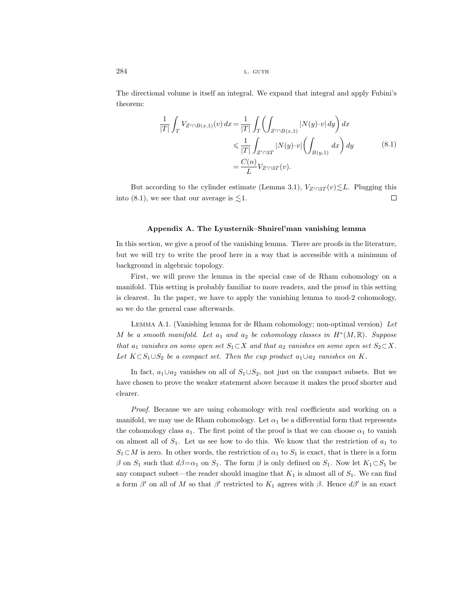The directional volume is itself an integral. We expand that integral and apply Fubini's theorem:

$$
\frac{1}{|T|} \int_{T} V_{Z' \cap B(x,1)}(v) dx = \frac{1}{|T|} \int_{T} \left( \int_{Z' \cap B(x,1)} |N(y) \cdot v| dy \right) dx
$$
  
\n
$$
\leq \frac{1}{|T|} \int_{Z' \cap 3T} |N(y) \cdot v| \left( \int_{B(y,1)} dx \right) dy
$$
  
\n
$$
= \frac{C(n)}{L} V_{Z' \cap 3T}(v).
$$
\n(8.1)

But according to the cylinder estimate (Lemma 3.1),  $V_{Z' \cap 3T}(v) \leq L$ . Plugging this into (8.1), we see that our average is  $\leq 1$ .  $\Box$ 

### Appendix A. The Lyusternik–Shnirel'man vanishing lemma

In this section, we give a proof of the vanishing lemma. There are proofs in the literature, but we will try to write the proof here in a way that is accessible with a minimum of background in algebraic topology.

First, we will prove the lemma in the special case of de Rham cohomology on a manifold. This setting is probably familiar to more readers, and the proof in this setting is clearest. In the paper, we have to apply the vanishing lemma to mod-2 cohomology, so we do the general case afterwards.

Lemma A.1. (Vanishing lemma for de Rham cohomology; non-optimal version) Let M be a smooth manifold. Let  $a_1$  and  $a_2$  be cohomology classes in  $H^*(M,\mathbb{R})$ . Suppose that  $a_1$  vanishes on some open set  $S_1 \subset X$  and that  $a_2$  vanishes on some open set  $S_2 \subset X$ . Let  $K \subset S_1 \cup S_2$  be a compact set. Then the cup product  $a_1 \cup a_2$  vanishes on K.

In fact,  $a_1 \cup a_2$  vanishes on all of  $S_1 \cup S_2$ , not just on the compact subsets. But we have chosen to prove the weaker statement above because it makes the proof shorter and clearer.

Proof. Because we are using cohomology with real coefficients and working on a manifold, we may use de Rham cohomology. Let  $\alpha_1$  be a differential form that represents the cohomology class  $a_1$ . The first point of the proof is that we can choose  $\alpha_1$  to vanish on almost all of  $S_1$ . Let us see how to do this. We know that the restriction of  $a_1$  to  $S_1\subset M$  is zero. In other words, the restriction of  $\alpha_1$  to  $S_1$  is exact, that is there is a form β on  $S_1$  such that  $d\beta = \alpha_1$  on  $S_1$ . The form β is only defined on  $S_1$ . Now let  $K_1 \subset S_1$  be any compact subset—the reader should imagine that  $K_1$  is almost all of  $S_1$ . We can find a form  $\beta'$  on all of M so that  $\beta'$  restricted to  $K_1$  agrees with  $\beta$ . Hence  $d\beta'$  is an exact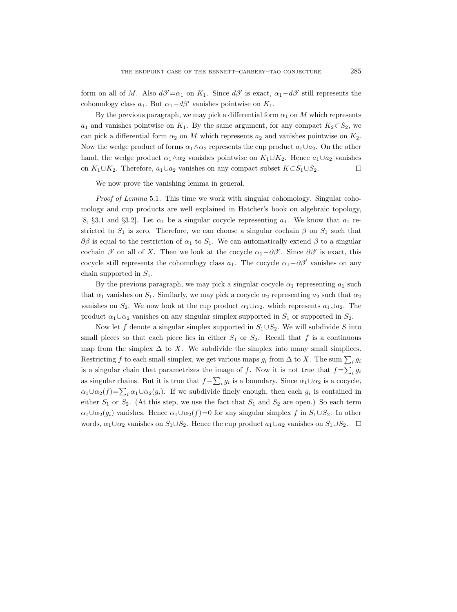form on all of M. Also  $d\beta' = \alpha_1$  on  $K_1$ . Since  $d\beta'$  is exact,  $\alpha_1 - d\beta'$  still represents the cohomology class  $a_1$ . But  $\alpha_1 - d\beta'$  vanishes pointwise on  $K_1$ .

By the previous paragraph, we may pick a differential form  $\alpha_1$  on M which represents  $a_1$  and vanishes pointwise on  $K_1$ . By the same argument, for any compact  $K_2\subset S_2$ , we can pick a differential form  $\alpha_2$  on M which represents  $a_2$  and vanishes pointwise on  $K_2$ . Now the wedge product of forms  $\alpha_1 \wedge \alpha_2$  represents the cup product  $a_1 \cup a_2$ . On the other hand, the wedge product  $\alpha_1 \wedge \alpha_2$  vanishes pointwise on  $K_1 \cup K_2$ . Hence  $a_1 \cup a_2$  vanishes on  $K_1 \cup K_2$ . Therefore,  $a_1 \cup a_2$  vanishes on any compact subset  $K \subset S_1 \cup S_2$ . □

We now prove the vanishing lemma in general.

Proof of Lemma 5.1. This time we work with singular cohomology. Singular cohomology and cup products are well explained in Hatcher's book on algebraic topology, [8, §3.1 and §3.2]. Let  $\alpha_1$  be a singular cocycle representing  $a_1$ . We know that  $a_1$  restricted to  $S_1$  is zero. Therefore, we can choose a singular cochain  $\beta$  on  $S_1$  such that  $\partial \beta$  is equal to the restriction of  $\alpha_1$  to  $S_1$ . We can automatically extend  $\beta$  to a singular cochain  $\beta'$  on all of X. Then we look at the cocycle  $\alpha_1 - \partial \beta'$ . Since  $\partial \beta'$  is exact, this cocycle still represents the cohomology class  $a_1$ . The cocycle  $\alpha_1-\partial\beta'$  vanishes on any chain supported in  $S_1$ .

By the previous paragraph, we may pick a singular cocycle  $\alpha_1$  representing  $a_1$  such that  $\alpha_1$  vanishes on  $S_1$ . Similarly, we may pick a cocycle  $\alpha_2$  representing  $a_2$  such that  $\alpha_2$ vanishes on  $S_2$ . We now look at the cup product  $\alpha_1 \cup \alpha_2$ , which represents  $a_1 \cup a_2$ . The product  $\alpha_1 \cup \alpha_2$  vanishes on any singular simplex supported in  $S_1$  or supported in  $S_2$ .

Now let f denote a singular simplex supported in  $S_1 \cup S_2$ . We will subdivide S into small pieces so that each piece lies in either  $S_1$  or  $S_2$ . Recall that f is a continuous map from the simplex  $\Delta$  to X. We subdivide the simplex into many small simplices. Restricting f to each small simplex, we get various maps  $g_i$  from  $\Delta$  to X. The sum  $\sum_i g_i$ is a singular chain that parametrizes the image of f. Now it is not true that  $f = \sum_i g_i$ as singular chains. But it is true that  $f - \sum_i g_i$  is a boundary. Since  $\alpha_1 \cup \alpha_2$  is a cocycle,  $\alpha_1 \cup \alpha_2(f) = \sum_i \alpha_1 \cup \alpha_2(g_i)$ . If we subdivide finely enough, then each  $g_i$  is contained in either  $S_1$  or  $S_2$ . (At this step, we use the fact that  $S_1$  and  $S_2$  are open.) So each term  $\alpha_1 \cup \alpha_2(g_i)$  vanishes. Hence  $\alpha_1 \cup \alpha_2(f)=0$  for any singular simplex f in  $S_1 \cup S_2$ . In other words,  $\alpha_1 \cup \alpha_2$  vanishes on  $S_1 \cup S_2$ . Hence the cup product  $a_1 \cup a_2$  vanishes on  $S_1 \cup S_2$ .  $\Box$